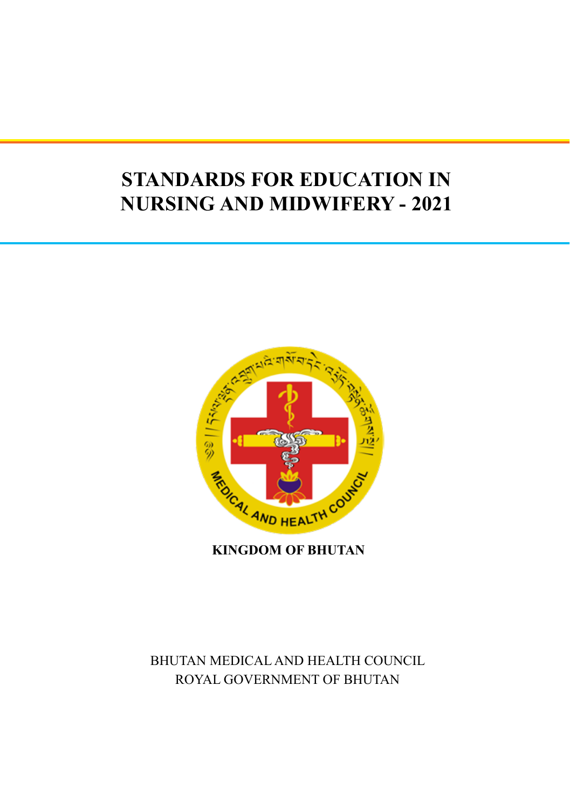# **STANDARDS FOR EDUCATION IN NURSING AND MIDWIFERY - 2021**



**KINGDOM OF BHUTAN**

BHUTAN MEDICAL AND HEALTH COUNCIL ROYAL GOVERNMENT OF BHUTAN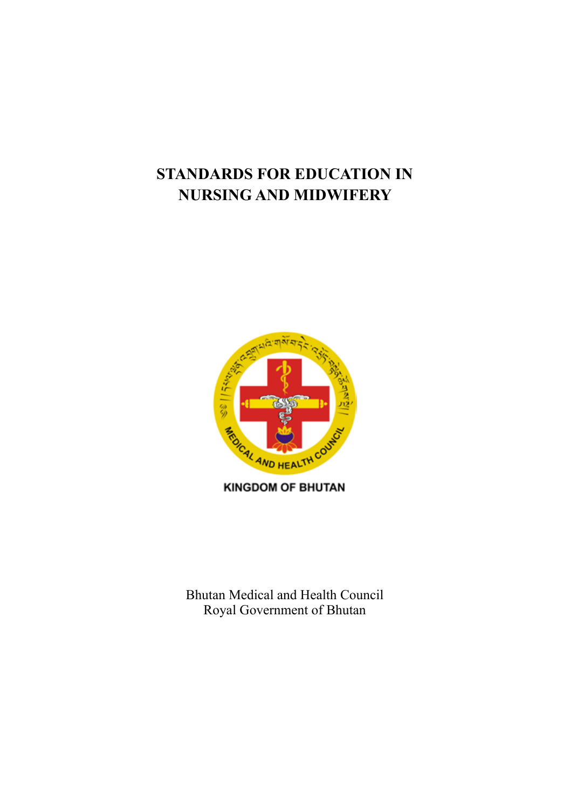# **STANDARDS FOR EDUCATION IN NURSING AND MIDWIFERY**



**KINGDOM OF BHUTAN** 

Bhutan Medical and Health Council Royal Government of Bhutan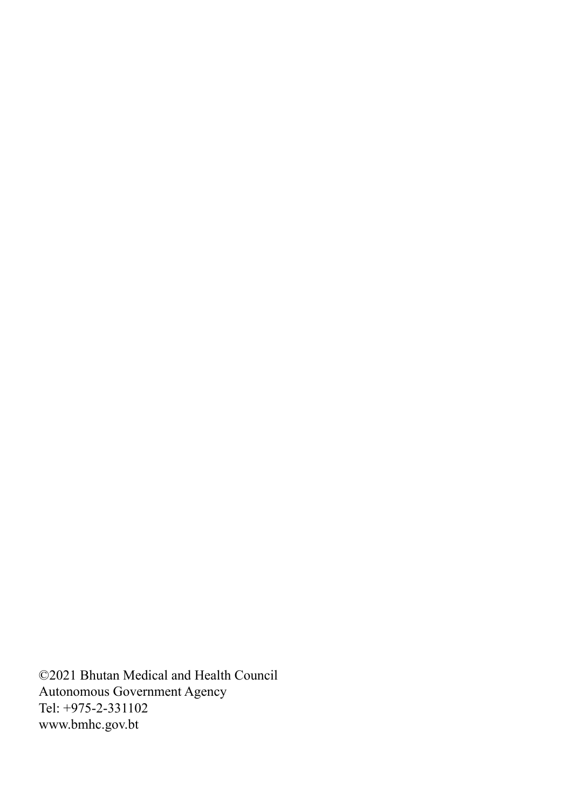©2021 Bhutan Medical and Health Council Autonomous Government Agency Tel: +975-2-331102 www.bmhc.gov.bt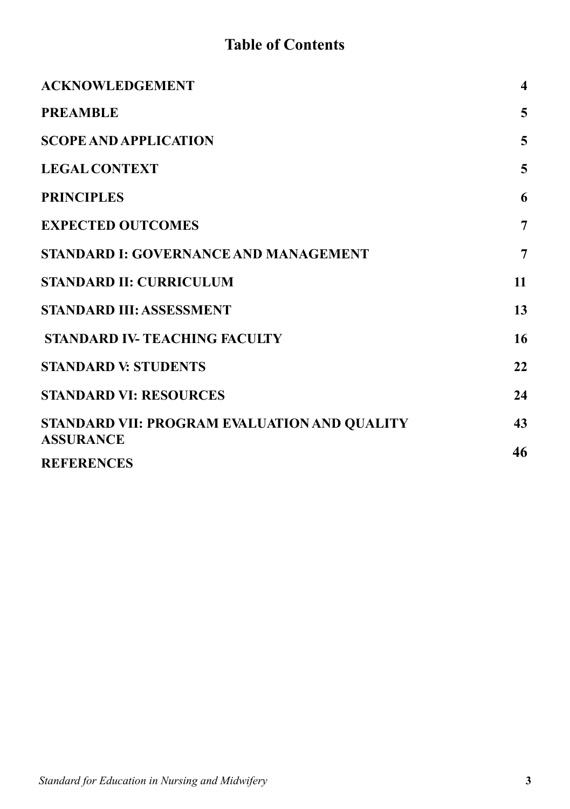# **Table of Contents**

| <b>ACKNOWLEDGEMENT</b>                       | $\overline{\mathbf{4}}$ |
|----------------------------------------------|-------------------------|
| <b>PREAMBLE</b>                              | 5                       |
| <b>SCOPE AND APPLICATION</b>                 | 5                       |
| <b>LEGAL CONTEXT</b>                         | 5                       |
| <b>PRINCIPLES</b>                            | 6                       |
| <b>EXPECTED OUTCOMES</b>                     | $\overline{7}$          |
| <b>STANDARD I: GOVERNANCE AND MANAGEMENT</b> | $\overline{7}$          |
| <b>STANDARD II: CURRICULUM</b>               | 11                      |
| <b>STANDARD III: ASSESSMENT</b>              | 13                      |
| <b>STANDARD IV-TEACHING FACULTY</b>          | 16                      |
| <b>STANDARD V: STUDENTS</b>                  | 22                      |
| <b>STANDARD VI: RESOURCES</b>                | 24                      |
| STANDARD VII: PROGRAM EVALUATION AND QUALITY | 43                      |
| <b>ASSURANCE</b>                             | 46                      |
| <b>REFERENCES</b>                            |                         |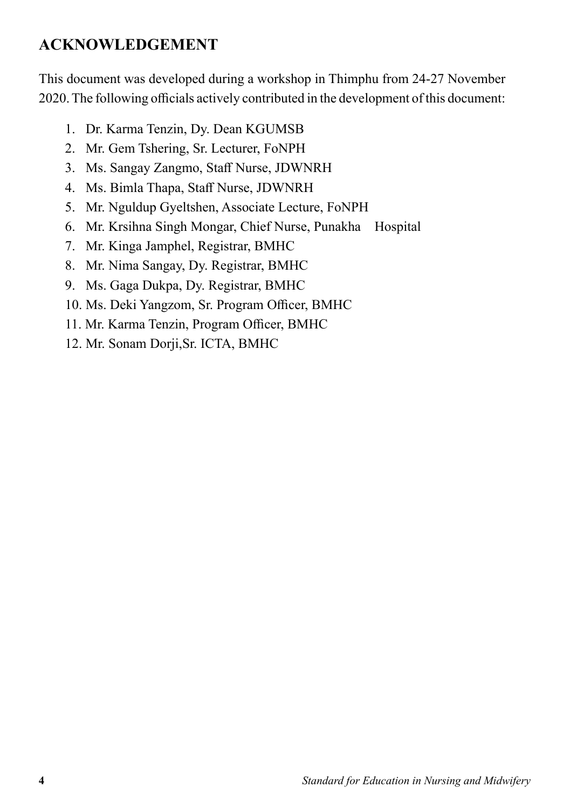# **ACKNOWLEDGEMENT**

This document was developed during a workshop in Thimphu from 24-27 November 2020. The following officials actively contributed in the development of this document:

- 1. Dr. Karma Tenzin, Dy. Dean KGUMSB
- 2. Mr. Gem Tshering, Sr. Lecturer, FoNPH
- 3. Ms. Sangay Zangmo, Staff Nurse, JDWNRH
- 4. Ms. Bimla Thapa, Staff Nurse, JDWNRH
- 5. Mr. Nguldup Gyeltshen, Associate Lecture, FoNPH
- 6. Mr. Krsihna Singh Mongar, Chief Nurse, Punakha Hospital
- 7. Mr. Kinga Jamphel, Registrar, BMHC
- 8. Mr. Nima Sangay, Dy. Registrar, BMHC
- 9. Ms. Gaga Dukpa, Dy. Registrar, BMHC
- 10. Ms. Deki Yangzom, Sr. Program Officer, BMHC
- 11. Mr. Karma Tenzin, Program Officer, BMHC
- 12. Mr. Sonam Dorji,Sr. ICTA, BMHC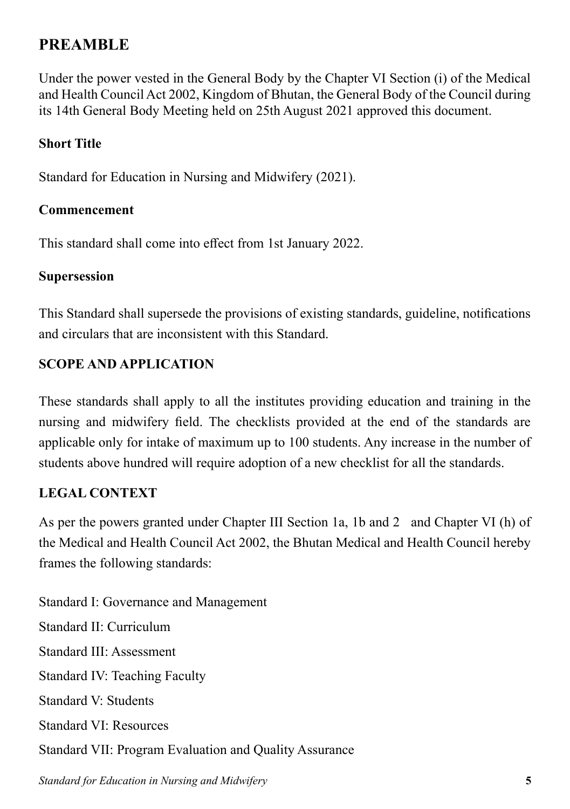# **PREAMBLE**

Under the power vested in the General Body by the Chapter VI Section (i) of the Medical and Health Council Act 2002, Kingdom of Bhutan, the General Body of the Council during its 14th General Body Meeting held on 25th August 2021 approved this document.

## **Short Title**

Standard for Education in Nursing and Midwifery (2021).

### **Commencement**

This standard shall come into effect from 1st January 2022.

### **Supersession**

This Standard shall supersede the provisions of existing standards, guideline, notifications and circulars that are inconsistent with this Standard.

# **SCOPE AND APPLICATION**

These standards shall apply to all the institutes providing education and training in the nursing and midwifery field. The checklists provided at the end of the standards are applicable only for intake of maximum up to 100 students. Any increase in the number of students above hundred will require adoption of a new checklist for all the standards.

## **LEGAL CONTEXT**

As per the powers granted under Chapter III Section 1a, 1b and 2 and Chapter VI (h) of the Medical and Health Council Act 2002, the Bhutan Medical and Health Council hereby frames the following standards:

Standard I: Governance and Management Standard II: Curriculum Standard III: Assessment Standard IV: Teaching Faculty Standard V: Students Standard VI: Resources Standard VII: Program Evaluation and Quality Assurance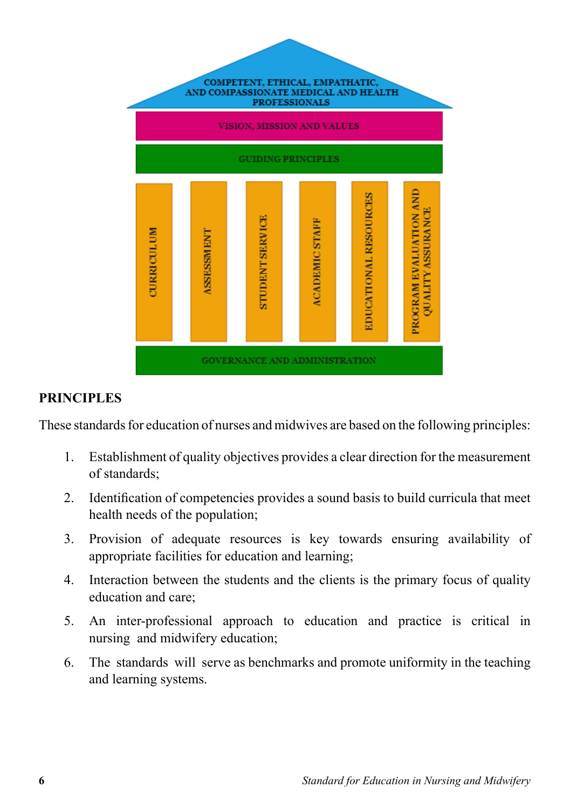

### **PRINCIPLES**

These standards for education of nurses and midwives are based on the following principles:

- 1. Establishment of quality objectives provides a clear direction for the measurement of standards;
- 2. Identification of competencies provides a sound basis to build curricula that meet health needs of the population;
- 3. Provision of adequate resources is key towards ensuring availability of appropriate facilities for education and learning;
- 4. Interaction between the students and the clients is the primary focus of quality education and care;
- 5. An inter-professional approach to education and practice is critical in nursing and midwifery education;
- 6. The standards will serve as benchmarks and promote uniformity in the teaching and learning systems.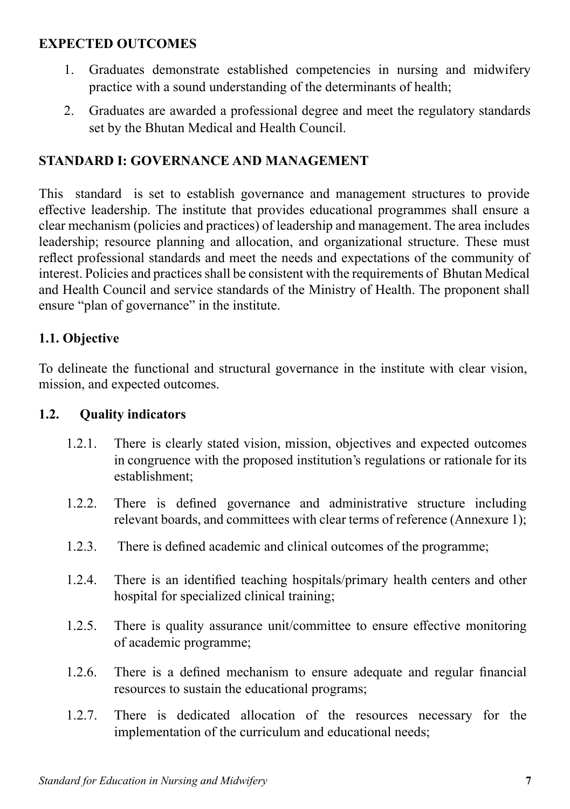# **EXPECTED OUTCOMES**

- 1. Graduates demonstrate established competencies in nursing and midwifery practice with a sound understanding of the determinants of health;
- 2. Graduates are awarded a professional degree and meet the regulatory standards set by the Bhutan Medical and Health Council.

# **STANDARD I: GOVERNANCE AND MANAGEMENT**

This standard is set to establish governance and management structures to provide effective leadership. The institute that provides educational programmes shall ensure a clear mechanism (policies and practices) of leadership and management. The area includes leadership; resource planning and allocation, and organizational structure. These must reflect professional standards and meet the needs and expectations of the community of interest. Policies and practices shall be consistent with the requirements of Bhutan Medical and Health Council and service standards of the Ministry of Health. The proponent shall ensure "plan of governance" in the institute.

# **1.1. Objective**

To delineate the functional and structural governance in the institute with clear vision, mission, and expected outcomes.

## **1.2. Quality indicators**

- 1.2.1. There is clearly stated vision, mission, objectives and expected outcomes in congruence with the proposed institution's regulations or rationale for its establishment;
- 1.2.2. There is defined governance and administrative structure including relevant boards, and committees with clear terms of reference (Annexure 1);
- 1.2.3. There is defined academic and clinical outcomes of the programme;
- 1.2.4. There is an identified teaching hospitals/primary health centers and other hospital for specialized clinical training;
- 1.2.5. There is quality assurance unit/committee to ensure effective monitoring of academic programme;
- 1.2.6. There is a defined mechanism to ensure adequate and regular financial resources to sustain the educational programs;
- 1.2.7. There is dedicated allocation of the resources necessary for the implementation of the curriculum and educational needs;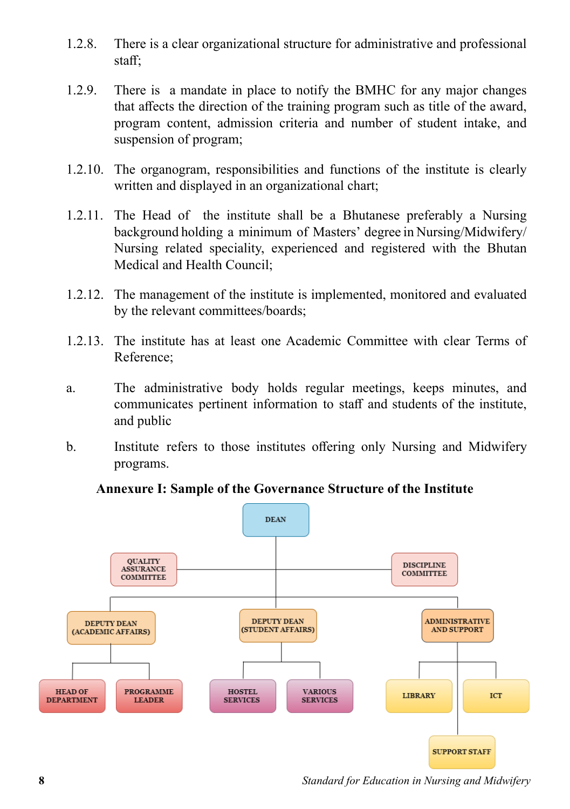- 1.2.8. There is a clear organizational structure for administrative and professional staff;
- 1.2.9. There is a mandate in place to notify the BMHC for any major changes that affects the direction of the training program such as title of the award, program content, admission criteria and number of student intake, and suspension of program;
- 1.2.10. The organogram, responsibilities and functions of the institute is clearly written and displayed in an organizational chart;
- 1.2.11. The Head of the institute shall be a Bhutanese preferably a Nursing background holding a minimum of Masters' degree in Nursing/Midwifery/ Nursing related speciality, experienced and registered with the Bhutan Medical and Health Council;
- 1.2.12. The management of the institute is implemented, monitored and evaluated by the relevant committees/boards;
- 1.2.13. The institute has at least one Academic Committee with clear Terms of Reference;
- a. The administrative body holds regular meetings, keeps minutes, and communicates pertinent information to staff and students of the institute, and public
- b. Institute refers to those institutes offering only Nursing and Midwifery programs.

### **Annexure I: Sample of the Governance Structure of the Institute**



**<sup>8</sup>** *Standard for Education in Nursing and Midwifery*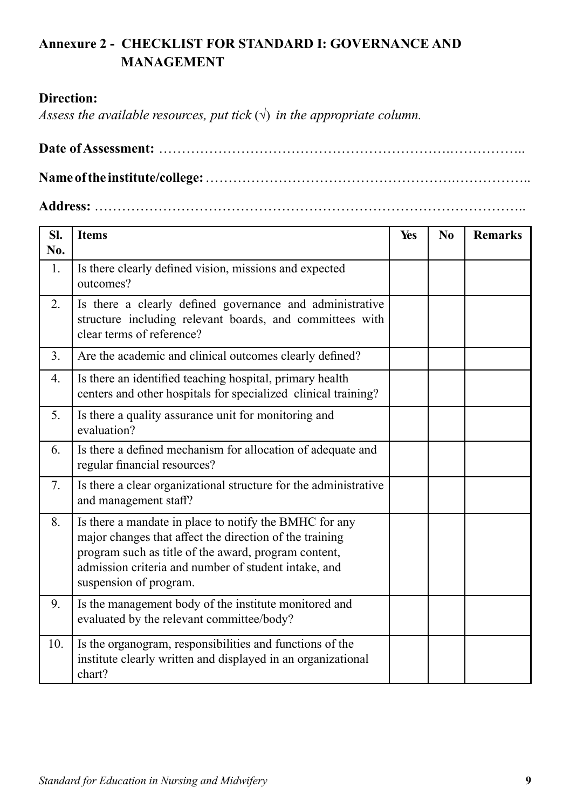# **Annexure 2 - CHECKLIST FOR STANDARD I: GOVERNANCE AND MANAGEMENT**

### **Direction:**

*Assess the available resources, put tick*  $(\sqrt{})$  *in the appropriate column.* 

**Date of Assessment:** ……………………………………………………….…………….. **Name of the institute/college:** ……………………………………………….……………..

### **Address:** …………………………………………………………………………………..

| SI.<br>No. | <b>Items</b>                                                                                                                                                                                                                                                | Yes | N <sub>0</sub> | <b>Remarks</b> |
|------------|-------------------------------------------------------------------------------------------------------------------------------------------------------------------------------------------------------------------------------------------------------------|-----|----------------|----------------|
| 1.         | Is there clearly defined vision, missions and expected<br>outcomes?                                                                                                                                                                                         |     |                |                |
| 2.         | Is there a clearly defined governance and administrative<br>structure including relevant boards, and committees with<br>clear terms of reference?                                                                                                           |     |                |                |
| 3.         | Are the academic and clinical outcomes clearly defined?                                                                                                                                                                                                     |     |                |                |
| 4.         | Is there an identified teaching hospital, primary health<br>centers and other hospitals for specialized clinical training?                                                                                                                                  |     |                |                |
| 5.         | Is there a quality assurance unit for monitoring and<br>evaluation?                                                                                                                                                                                         |     |                |                |
| 6.         | Is there a defined mechanism for allocation of adequate and<br>regular financial resources?                                                                                                                                                                 |     |                |                |
| 7.         | Is there a clear organizational structure for the administrative<br>and management staff?                                                                                                                                                                   |     |                |                |
| 8.         | Is there a mandate in place to notify the BMHC for any<br>major changes that affect the direction of the training<br>program such as title of the award, program content,<br>admission criteria and number of student intake, and<br>suspension of program. |     |                |                |
| 9.         | Is the management body of the institute monitored and<br>evaluated by the relevant committee/body?                                                                                                                                                          |     |                |                |
| 10.        | Is the organogram, responsibilities and functions of the<br>institute clearly written and displayed in an organizational<br>chart?                                                                                                                          |     |                |                |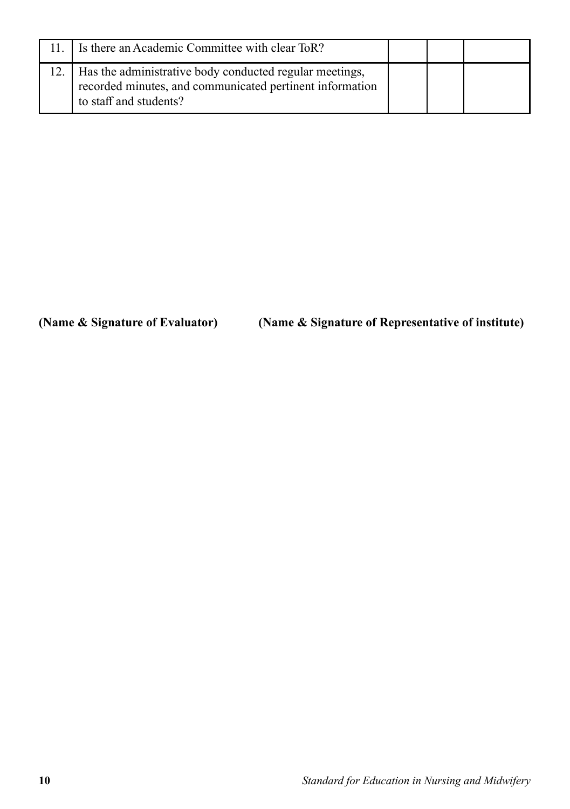| 11. I Is there an Academic Committee with clear ToR?                                                                                                |  |  |
|-----------------------------------------------------------------------------------------------------------------------------------------------------|--|--|
| 12.   Has the administrative body conducted regular meetings,<br>recorded minutes, and communicated pertinent information<br>to staff and students? |  |  |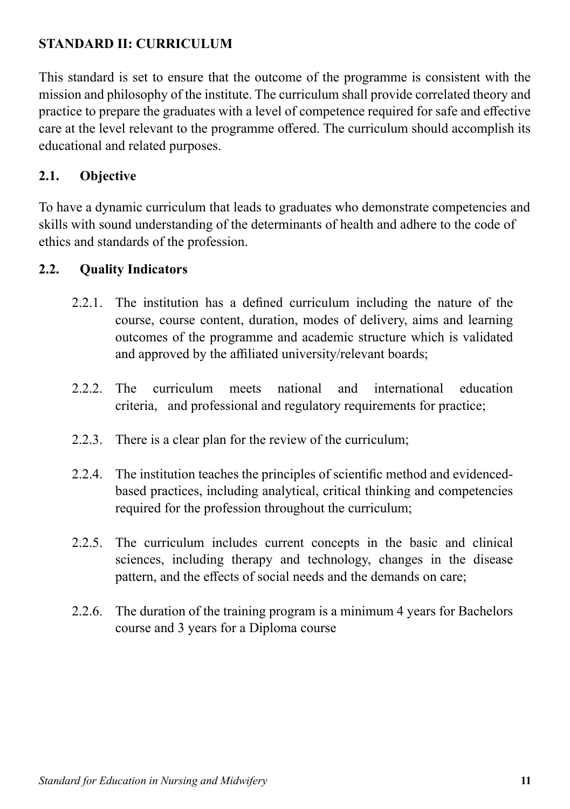# **STANDARD II: CURRICULUM**

This standard is set to ensure that the outcome of the programme is consistent with the mission and philosophy of the institute. The curriculum shall provide correlated theory and practice to prepare the graduates with a level of competence required for safe and effective care at the level relevant to the programme offered. The curriculum should accomplish its educational and related purposes.

# **2.1. Objective**

To have a dynamic curriculum that leads to graduates who demonstrate competencies and skills with sound understanding of the determinants of health and adhere to the code of ethics and standards of the profession.

# **2.2. Quality Indicators**

- 2.2.1. The institution has a defined curriculum including the nature of the course, course content, duration, modes of delivery, aims and learning outcomes of the programme and academic structure which is validated and approved by the affiliated university/relevant boards;
- 2.2.2. The curriculum meets national and international education criteria, and professional and regulatory requirements for practice;
- 2.2.3. There is a clear plan for the review of the curriculum;
- 2.2.4. The institution teaches the principles of scientific method and evidencedbased practices, including analytical, critical thinking and competencies required for the profession throughout the curriculum;
- 2.2.5. The curriculum includes current concepts in the basic and clinical sciences, including therapy and technology, changes in the disease pattern, and the effects of social needs and the demands on care;
- 2.2.6. The duration of the training program is a minimum 4 years for Bachelors course and 3 years for a Diploma course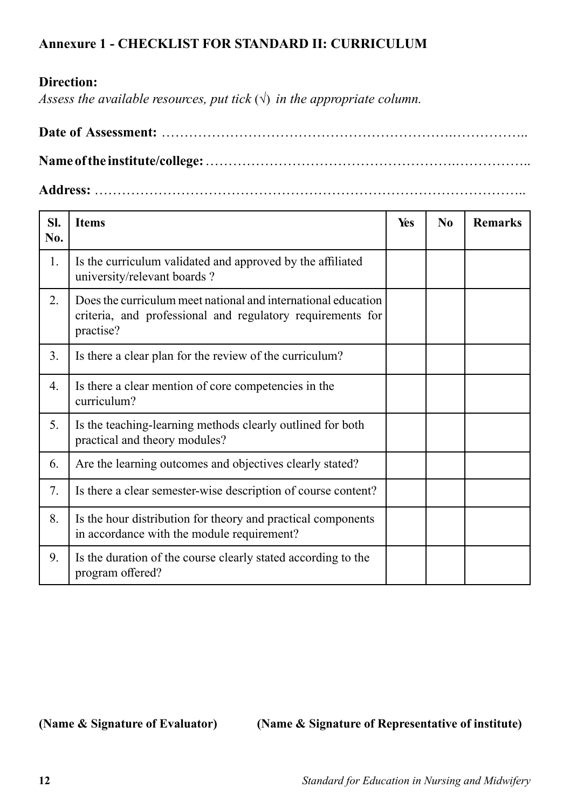# **Annexure 1 - CHECKLIST FOR STANDARD II: CURRICULUM**

### **Direction:**

*Assess the available resources, put tick*  $(\sqrt{})$  *in the appropriate column.* 

**Date of Assessment:** ……………………………………………………….…………….. **Name of the institute/college:** ……………………………………………….……………..

**Address:** …………………………………………………………………………………..

| SI.<br>No. | <b>Items</b>                                                                                                                             | Yes | N <sub>0</sub> | <b>Remarks</b> |
|------------|------------------------------------------------------------------------------------------------------------------------------------------|-----|----------------|----------------|
| 1.         | Is the curriculum validated and approved by the affiliated<br>university/relevant boards?                                                |     |                |                |
| 2.         | Does the curriculum meet national and international education<br>criteria, and professional and regulatory requirements for<br>practise? |     |                |                |
| 3.         | Is there a clear plan for the review of the curriculum?                                                                                  |     |                |                |
| 4.         | Is there a clear mention of core competencies in the<br>curriculum?                                                                      |     |                |                |
| 5.         | Is the teaching-learning methods clearly outlined for both<br>practical and theory modules?                                              |     |                |                |
| 6.         | Are the learning outcomes and objectives clearly stated?                                                                                 |     |                |                |
| 7.         | Is there a clear semester-wise description of course content?                                                                            |     |                |                |
| 8.         | Is the hour distribution for theory and practical components<br>in accordance with the module requirement?                               |     |                |                |
| 9.         | Is the duration of the course clearly stated according to the<br>program offered?                                                        |     |                |                |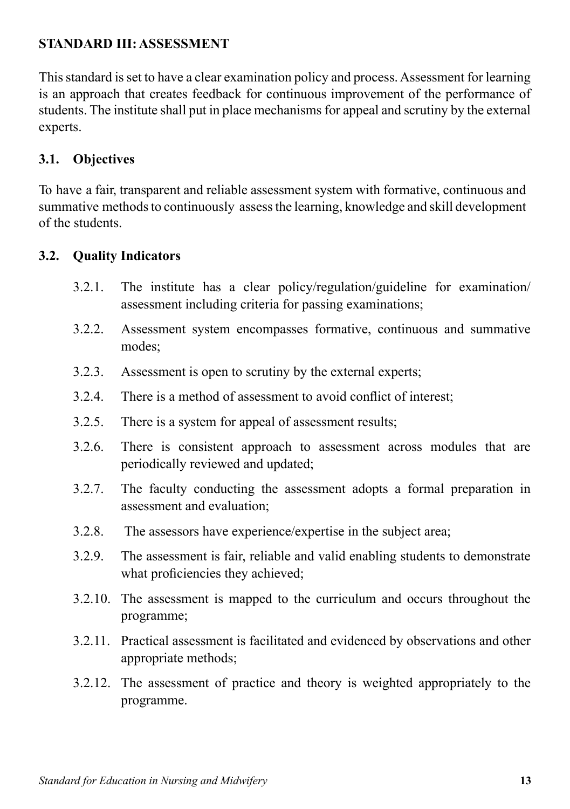# **STANDARD III: ASSESSMENT**

This standard is set to have a clear examination policy and process. Assessment for learning is an approach that creates feedback for continuous improvement of the performance of students. The institute shall put in place mechanisms for appeal and scrutiny by the external experts.

# **3.1. Objectives**

To have a fair, transparent and reliable assessment system with formative, continuous and summative methods to continuously assess the learning, knowledge and skill development of the students.

## **3.2. Quality Indicators**

- 3.2.1. The institute has a clear policy/regulation/guideline for examination/ assessment including criteria for passing examinations;
- 3.2.2. Assessment system encompasses formative, continuous and summative modes;
- 3.2.3. Assessment is open to scrutiny by the external experts;
- 3.2.4. There is a method of assessment to avoid conflict of interest;
- 3.2.5. There is a system for appeal of assessment results;
- 3.2.6. There is consistent approach to assessment across modules that are periodically reviewed and updated;
- 3.2.7. The faculty conducting the assessment adopts a formal preparation in assessment and evaluation;
- 3.2.8. The assessors have experience/expertise in the subject area;
- 3.2.9. The assessment is fair, reliable and valid enabling students to demonstrate what proficiencies they achieved;
- 3.2.10. The assessment is mapped to the curriculum and occurs throughout the programme;
- 3.2.11. Practical assessment is facilitated and evidenced by observations and other appropriate methods;
- 3.2.12. The assessment of practice and theory is weighted appropriately to the programme.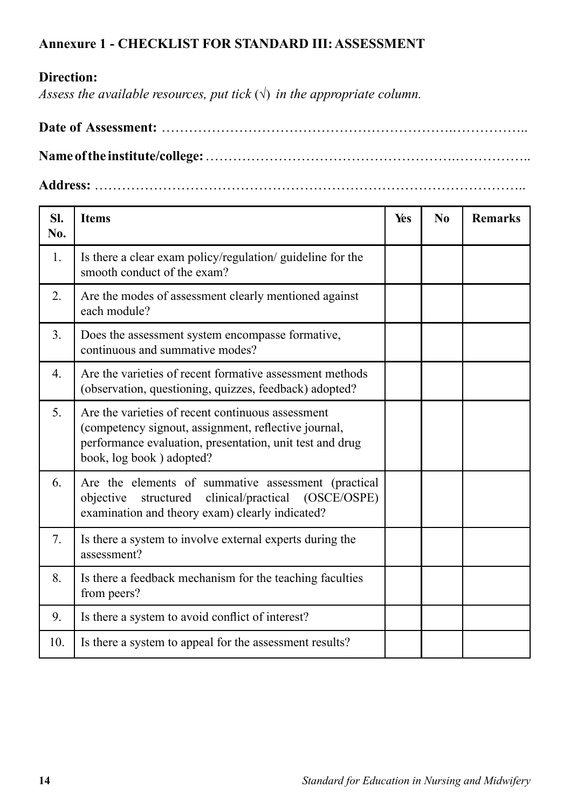### **Annexure 1 - CHECKLIST FOR STANDARD III: ASSESSMENT**

# **Direction:**

*Assess the available resources, put tick*  $(\sqrt{})$  *in the appropriate column.* 

**Date of Assessment:** ……………………………………………………….…………….. **Name of the institute/college:** ……………………………………………….……………..

**Address:** …………………………………………………………………………………..

| SI.<br>No. | <b>Items</b>                                                                                                                                                                                      | Yes | N <sub>0</sub> | <b>Remarks</b> |
|------------|---------------------------------------------------------------------------------------------------------------------------------------------------------------------------------------------------|-----|----------------|----------------|
| 1.         | Is there a clear exam policy/regulation/ guideline for the<br>smooth conduct of the exam?                                                                                                         |     |                |                |
| 2.         | Are the modes of assessment clearly mentioned against<br>each module?                                                                                                                             |     |                |                |
| 3.         | Does the assessment system encompasse formative,<br>continuous and summative modes?                                                                                                               |     |                |                |
| 4.         | Are the varieties of recent formative assessment methods<br>(observation, questioning, quizzes, feedback) adopted?                                                                                |     |                |                |
| 5.         | Are the varieties of recent continuous assessment<br>(competency signout, assignment, reflective journal,<br>performance evaluation, presentation, unit test and drug<br>book, log book) adopted? |     |                |                |
| 6.         | Are the elements of summative assessment (practical<br>structured<br>clinical/practical (OSCE/OSPE)<br>objective<br>examination and theory exam) clearly indicated?                               |     |                |                |
| 7.         | Is there a system to involve external experts during the<br>assessment?                                                                                                                           |     |                |                |
| 8.         | Is there a feedback mechanism for the teaching faculties<br>from peers?                                                                                                                           |     |                |                |
| 9.         | Is there a system to avoid conflict of interest?                                                                                                                                                  |     |                |                |
| 10.        | Is there a system to appeal for the assessment results?                                                                                                                                           |     |                |                |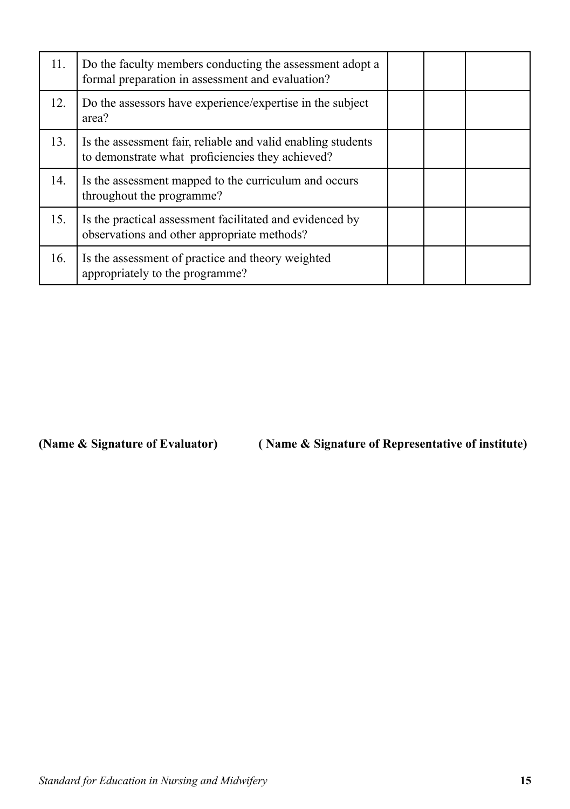| 11. | Do the faculty members conducting the assessment adopt a<br>formal preparation in assessment and evaluation?     |  |  |
|-----|------------------------------------------------------------------------------------------------------------------|--|--|
| 12. | Do the assessors have experience/expertise in the subject<br>area?                                               |  |  |
| 13. | Is the assessment fair, reliable and valid enabling students<br>to demonstrate what proficiencies they achieved? |  |  |
| 14. | Is the assessment mapped to the curriculum and occurs<br>throughout the programme?                               |  |  |
| 15. | Is the practical assessment facilitated and evidenced by<br>observations and other appropriate methods?          |  |  |
| 16. | Is the assessment of practice and theory weighted<br>appropriately to the programme?                             |  |  |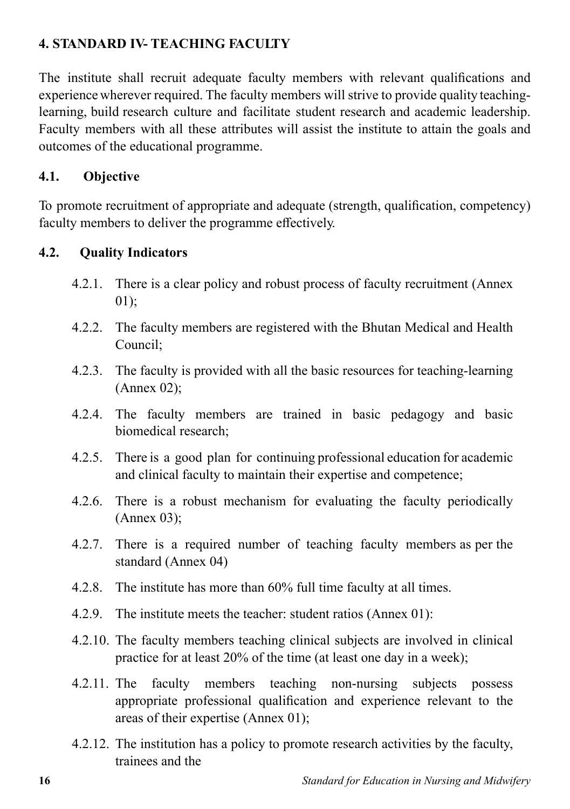# **4. STANDARD IV- TEACHING FACULTY**

The institute shall recruit adequate faculty members with relevant qualifications and experience wherever required. The faculty members will strive to provide quality teachinglearning, build research culture and facilitate student research and academic leadership. Faculty members with all these attributes will assist the institute to attain the goals and outcomes of the educational programme.

# **4.1. Objective**

To promote recruitment of appropriate and adequate (strength, qualification, competency) faculty members to deliver the programme effectively.

# **4.2. Quality Indicators**

- 4.2.1. There is a clear policy and robust process of faculty recruitment (Annex 01);
- 4.2.2. The faculty members are registered with the Bhutan Medical and Health Council;
- 4.2.3. The faculty is provided with all the basic resources for teaching-learning (Annex 02);
- 4.2.4. The faculty members are trained in basic pedagogy and basic biomedical research;
- 4.2.5. There is a good plan for continuing professional education for academic and clinical faculty to maintain their expertise and competence;
- 4.2.6. There is a robust mechanism for evaluating the faculty periodically (Annex 03);
- 4.2.7. There is a required number of teaching faculty members as per the standard (Annex 04)
- 4.2.8. The institute has more than 60% full time faculty at all times.
- 4.2.9. The institute meets the teacher: student ratios (Annex 01):
- 4.2.10. The faculty members teaching clinical subjects are involved in clinical practice for at least 20% of the time (at least one day in a week);
- 4.2.11. The faculty members teaching non-nursing subjects possess appropriate professional qualification and experience relevant to the areas of their expertise (Annex 01);
- 4.2.12. The institution has a policy to promote research activities by the faculty, trainees and the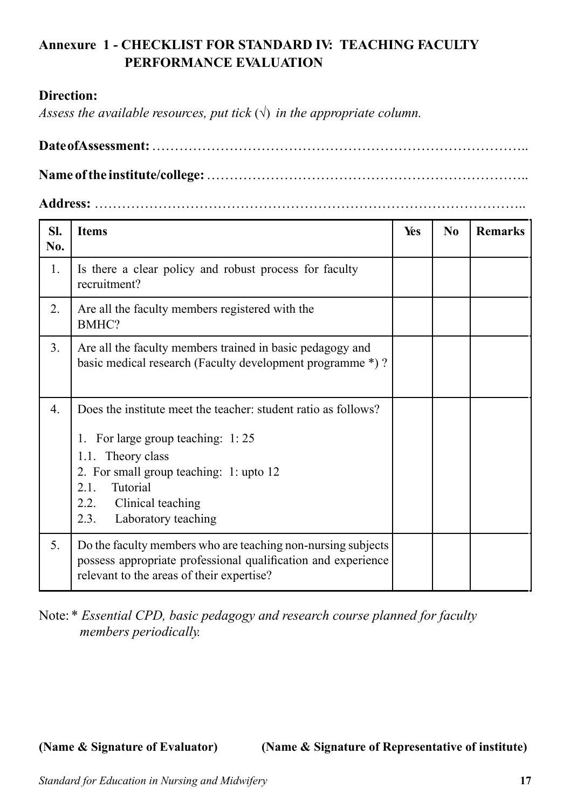# **Annexure 1 - CHECKLIST FOR STANDARD IV: TEACHING FACULTY PERFORMANCE EVALUATION**

### **Direction:**

*Assess the available resources, put tick*  $(\sqrt{})$  *in the appropriate column.* 

**Address:** …………………………………………………………………………………..

| SI.<br>No. | <b>Items</b>                                                                                                                                                                                                                                     | Yes | N <sub>0</sub> | <b>Remarks</b> |
|------------|--------------------------------------------------------------------------------------------------------------------------------------------------------------------------------------------------------------------------------------------------|-----|----------------|----------------|
| 1.         | Is there a clear policy and robust process for faculty<br>recruitment?                                                                                                                                                                           |     |                |                |
| 2.         | Are all the faculty members registered with the<br>BMHC?                                                                                                                                                                                         |     |                |                |
| 3.         | Are all the faculty members trained in basic pedagogy and<br>basic medical research (Faculty development programme *)?                                                                                                                           |     |                |                |
| 4.         | Does the institute meet the teacher: student ratio as follows?<br>1. For large group teaching: 1:25<br>1.1. Theory class<br>2. For small group teaching: 1: upto 12<br>Tutorial<br>2.1.<br>2.2. Clinical teaching<br>Laboratory teaching<br>2.3. |     |                |                |
| 5.         | Do the faculty members who are teaching non-nursing subjects<br>possess appropriate professional qualification and experience<br>relevant to the areas of their expertise?                                                                       |     |                |                |

Note: \* *Essential CPD, basic pedagogy and research course planned for faculty members periodically.*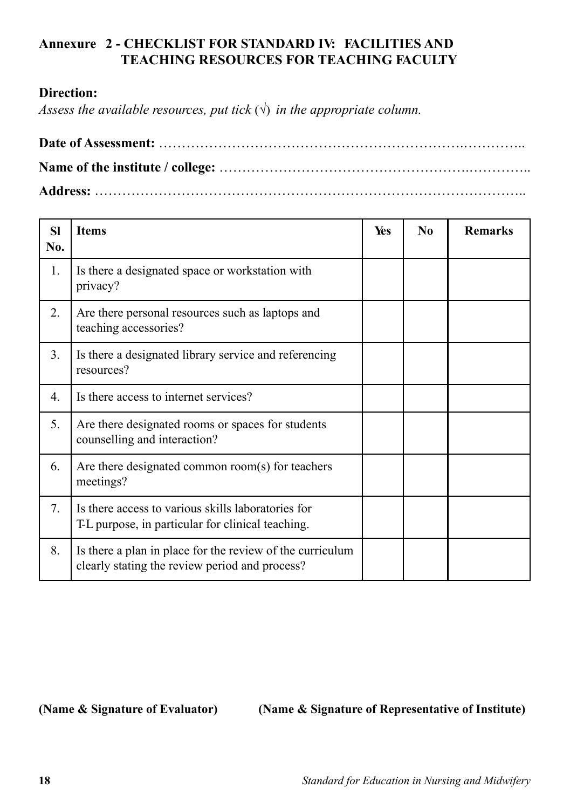# **Annexure 2 - CHECKLIST FOR STANDARD IV: FACILITIES AND TEACHING RESOURCES FOR TEACHING FACULTY**

### **Direction:**

*Assess the available resources, put tick*  $(\sqrt{})$  *in the appropriate column.* 

| <b>SI</b><br>No. | <b>Items</b>                                                                                                | Yes | N <sub>0</sub> | <b>Remarks</b> |
|------------------|-------------------------------------------------------------------------------------------------------------|-----|----------------|----------------|
| 1.               | Is there a designated space or workstation with<br>privacy?                                                 |     |                |                |
| 2.               | Are there personal resources such as laptops and<br>teaching accessories?                                   |     |                |                |
| 3.               | Is there a designated library service and referencing<br>resources?                                         |     |                |                |
| 4.               | Is there access to internet services?                                                                       |     |                |                |
| 5.               | Are there designated rooms or spaces for students<br>counselling and interaction?                           |     |                |                |
| 6.               | Are there designated common room(s) for teachers<br>meetings?                                               |     |                |                |
| 7.               | Is there access to various skills laboratories for<br>T-L purpose, in particular for clinical teaching.     |     |                |                |
| 8.               | Is there a plan in place for the review of the curriculum<br>clearly stating the review period and process? |     |                |                |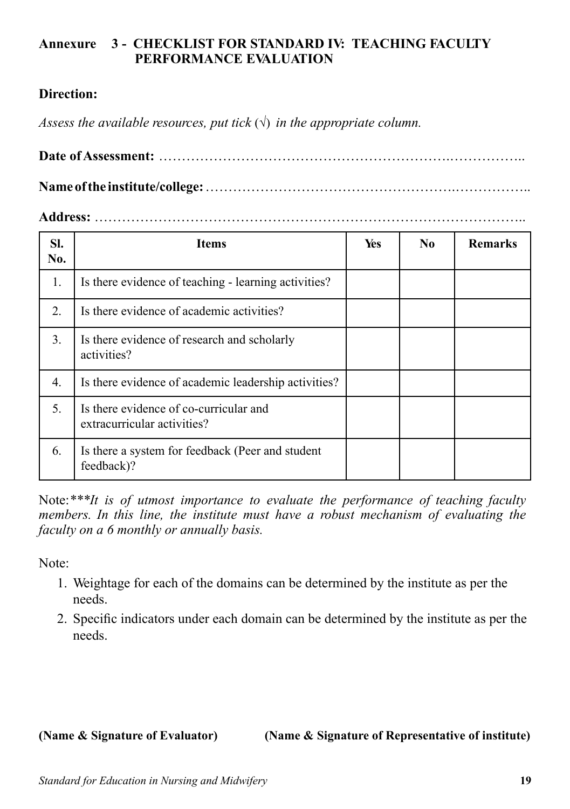## **Annexure 3 - CHECKLIST FOR STANDARD IV: TEACHING FACULTY PERFORMANCE EVALUATION**

# **Direction:**

*Assess the available resources, put tick*  $(\sqrt{})$  *in the appropriate column.* 

**Date of Assessment:** ……………………………………………………….……………..

**Name of the institute/college:** ……………………………………………….……………..

### **Address:** …………………………………………………………………………………..

| SI.<br>No. | <b>Items</b>                                                          | Yes | No. | <b>Remarks</b> |
|------------|-----------------------------------------------------------------------|-----|-----|----------------|
| 1.         | Is there evidence of teaching - learning activities?                  |     |     |                |
| 2.         | Is there evidence of academic activities?                             |     |     |                |
| 3.         | Is there evidence of research and scholarly<br>activities?            |     |     |                |
| 4.         | Is there evidence of academic leadership activities?                  |     |     |                |
| 5.         | Is there evidence of co-curricular and<br>extracurricular activities? |     |     |                |
| 6.         | Is there a system for feedback (Peer and student<br>feedback)?        |     |     |                |

Note:*\*\*\*It is of utmost importance to evaluate the performance of teaching faculty members. In this line, the institute must have a robust mechanism of evaluating the faculty on a 6 monthly or annually basis.*

Note:

- 1. Weightage for each of the domains can be determined by the institute as per the needs.
- 2. Specific indicators under each domain can be determined by the institute as per the needs.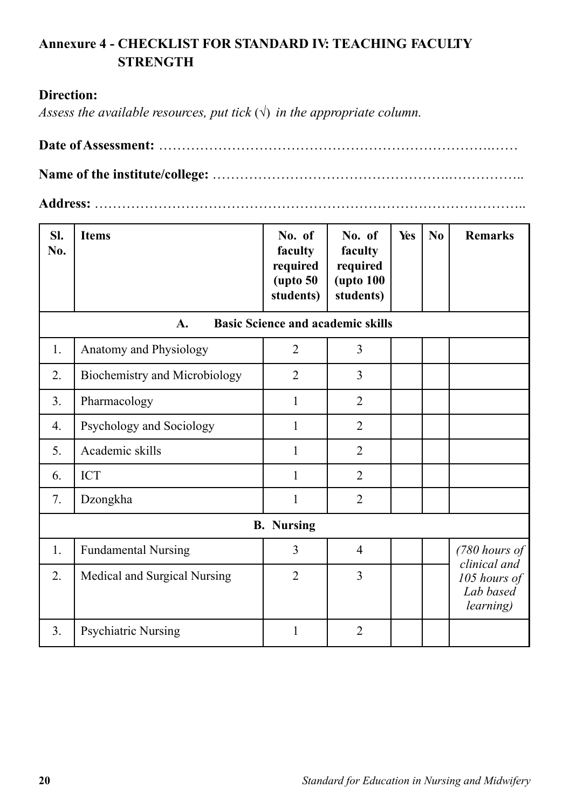# **Annexure 4 - CHECKLIST FOR STANDARD IV: TEACHING FACULTY STRENGTH**

### **Direction:**

*Assess the available resources, put tick*  $(\sqrt{})$  *in the appropriate column.* 

**Name of the institute/college:** …………………………………………….……………..

**Address:** …………………………………………………………………………………..

| SI.<br>No. | <b>Items</b>                                   | No. of<br>faculty<br>required<br>$($ upto 50<br>students) | No. of<br>faculty<br>required<br><b>(upto 100)</b><br>students) | Yes | No | <b>Remarks</b>                                                 |  |  |  |
|------------|------------------------------------------------|-----------------------------------------------------------|-----------------------------------------------------------------|-----|----|----------------------------------------------------------------|--|--|--|
|            | <b>Basic Science and academic skills</b><br>A. |                                                           |                                                                 |     |    |                                                                |  |  |  |
| 1.         | Anatomy and Physiology                         | $\overline{2}$                                            | $\overline{3}$                                                  |     |    |                                                                |  |  |  |
| 2.         | Biochemistry and Microbiology                  | $\overline{2}$                                            | $\overline{3}$                                                  |     |    |                                                                |  |  |  |
| 3.         | Pharmacology                                   | 1                                                         | $\overline{2}$                                                  |     |    |                                                                |  |  |  |
| 4.         | Psychology and Sociology                       | 1                                                         | 2                                                               |     |    |                                                                |  |  |  |
| 5.         | Academic skills                                | 1                                                         | $\overline{2}$                                                  |     |    |                                                                |  |  |  |
| 6.         | <b>ICT</b>                                     | $\mathbf{1}$                                              | $\overline{2}$                                                  |     |    |                                                                |  |  |  |
| 7.         | Dzongkha                                       | 1                                                         | $\overline{2}$                                                  |     |    |                                                                |  |  |  |
|            |                                                | <b>B.</b> Nursing                                         |                                                                 |     |    |                                                                |  |  |  |
| 1.         | <b>Fundamental Nursing</b>                     | 3                                                         | $\overline{4}$                                                  |     |    | $(780$ hours of                                                |  |  |  |
| 2.         | Medical and Surgical Nursing                   | $\overline{2}$                                            | $\overline{3}$                                                  |     |    | clinical and<br>105 hours of<br>Lab based<br><i>learning</i> ) |  |  |  |
| 3.         | Psychiatric Nursing                            | 1                                                         | 2                                                               |     |    |                                                                |  |  |  |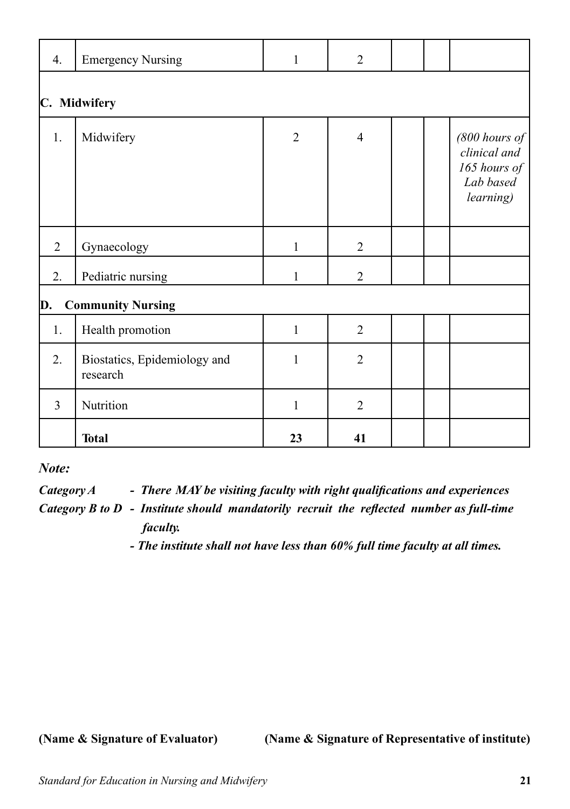| 4.             | <b>Emergency Nursing</b>                 | $\mathbf{1}$   | $\overline{2}$ |  |  |                                                                           |  |  |
|----------------|------------------------------------------|----------------|----------------|--|--|---------------------------------------------------------------------------|--|--|
| C. Midwifery   |                                          |                |                |  |  |                                                                           |  |  |
| 1.             | Midwifery                                | $\overline{2}$ | $\overline{4}$ |  |  | $(800$ hours of<br>clinical and<br>165 hours of<br>Lab based<br>learning) |  |  |
| $\overline{2}$ | Gynaecology                              | $\mathbf{1}$   | $\overline{2}$ |  |  |                                                                           |  |  |
| 2.             | Pediatric nursing                        | $\mathbf{1}$   | $\overline{2}$ |  |  |                                                                           |  |  |
| D.             | <b>Community Nursing</b>                 |                |                |  |  |                                                                           |  |  |
| 1.             | Health promotion                         | $\mathbf{1}$   | $\overline{2}$ |  |  |                                                                           |  |  |
| 2.             | Biostatics, Epidemiology and<br>research | 1              | $\overline{2}$ |  |  |                                                                           |  |  |
| $\overline{3}$ | Nutrition                                | 1              | $\overline{2}$ |  |  |                                                                           |  |  |
|                | <b>Total</b>                             | 23             | 41             |  |  |                                                                           |  |  |

*Note:*

*Category A - There MAY be visiting faculty with right qualifications and experiences*

*Category B to D - Institute should mandatorily recruit the reflected number as full-time faculty.*

*- The institute shall not have less than 60% full time faculty at all times.*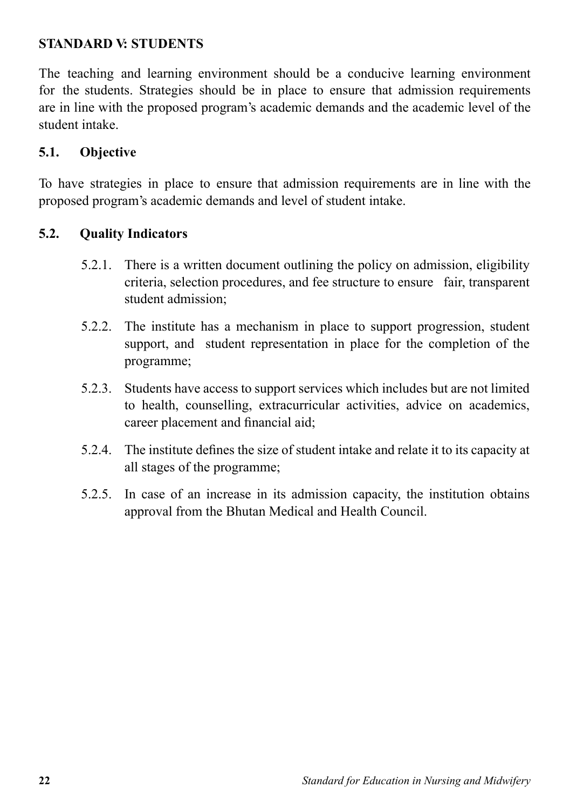# **STANDARD V: STUDENTS**

The teaching and learning environment should be a conducive learning environment for the students. Strategies should be in place to ensure that admission requirements are in line with the proposed program's academic demands and the academic level of the student intake.

# **5.1. Objective**

To have strategies in place to ensure that admission requirements are in line with the proposed program's academic demands and level of student intake.

# **5.2. Quality Indicators**

- 5.2.1. There is a written document outlining the policy on admission, eligibility criteria, selection procedures, and fee structure to ensure fair, transparent student admission;
- 5.2.2. The institute has a mechanism in place to support progression, student support, and student representation in place for the completion of the programme;
- 5.2.3. Students have access to support services which includes but are not limited to health, counselling, extracurricular activities, advice on academics, career placement and financial aid;
- 5.2.4. The institute defines the size of student intake and relate it to its capacity at all stages of the programme;
- 5.2.5. In case of an increase in its admission capacity, the institution obtains approval from the Bhutan Medical and Health Council.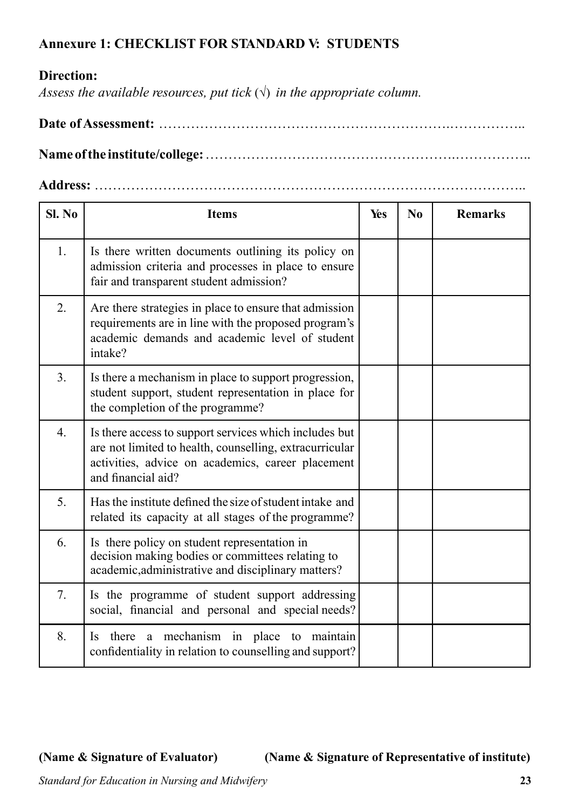# **Annexure 1: CHECKLIST FOR STANDARD V: STUDENTS**

# **Direction:**

*Assess the available resources, put tick*  $(\sqrt{})$  *in the appropriate column.* 

**Date of Assessment:** ……………………………………………………….……………..

**Name of the institute/college:** ……………………………………………….……………..

**Address:** …………………………………………………………………………………..

| SI. No           | <b>Items</b>                                                                                                                                                                                 | Yes | N <sub>0</sub> | <b>Remarks</b> |
|------------------|----------------------------------------------------------------------------------------------------------------------------------------------------------------------------------------------|-----|----------------|----------------|
| 1.               | Is there written documents outlining its policy on<br>admission criteria and processes in place to ensure<br>fair and transparent student admission?                                         |     |                |                |
| 2.               | Are there strategies in place to ensure that admission<br>requirements are in line with the proposed program's<br>academic demands and academic level of student<br>intake?                  |     |                |                |
| 3.               | Is there a mechanism in place to support progression,<br>student support, student representation in place for<br>the completion of the programme?                                            |     |                |                |
| $\overline{4}$ . | Is there access to support services which includes but<br>are not limited to health, counselling, extracurricular<br>activities, advice on academics, career placement<br>and financial aid? |     |                |                |
| 5.               | Has the institute defined the size of student intake and<br>related its capacity at all stages of the programme?                                                                             |     |                |                |
| 6.               | Is there policy on student representation in<br>decision making bodies or committees relating to<br>academic, administrative and disciplinary matters?                                       |     |                |                |
| 7.               | Is the programme of student support addressing<br>social, financial and personal and special needs?                                                                                          |     |                |                |
| 8.               | there a mechanism in place to maintain<br><b>Is</b><br>confidentiality in relation to counselling and support?                                                                               |     |                |                |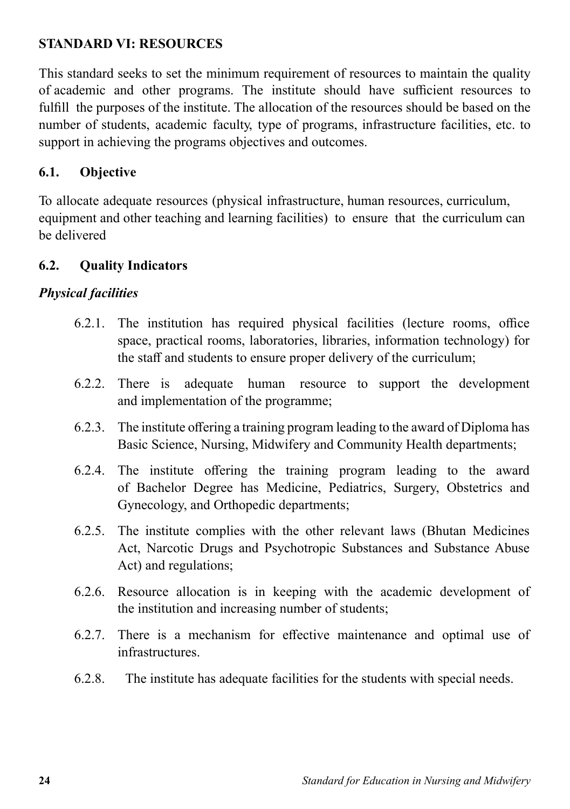# **STANDARD VI: RESOURCES**

This standard seeks to set the minimum requirement of resources to maintain the quality of academic and other programs. The institute should have sufficient resources to fulfill the purposes of the institute. The allocation of the resources should be based on the number of students, academic faculty, type of programs, infrastructure facilities, etc. to support in achieving the programs objectives and outcomes.

# **6.1. Objective**

To allocate adequate resources (physical infrastructure, human resources, curriculum, equipment and other teaching and learning facilities) to ensure that the curriculum can be delivered

# **6.2. Quality Indicators**

# *Physical facilities*

- 6.2.1. The institution has required physical facilities (lecture rooms, office space, practical rooms, laboratories, libraries, information technology) for the staff and students to ensure proper delivery of the curriculum;
- 6.2.2. There is adequate human resource to support the development and implementation of the programme;
- 6.2.3. The institute offering a training program leading to the award of Diploma has Basic Science, Nursing, Midwifery and Community Health departments;
- 6.2.4. The institute offering the training program leading to the award of Bachelor Degree has Medicine, Pediatrics, Surgery, Obstetrics and Gynecology, and Orthopedic departments;
- 6.2.5. The institute complies with the other relevant laws (Bhutan Medicines Act, Narcotic Drugs and Psychotropic Substances and Substance Abuse Act) and regulations;
- 6.2.6. Resource allocation is in keeping with the academic development of the institution and increasing number of students;
- 6.2.7. There is a mechanism for effective maintenance and optimal use of infrastructures.
- 6.2.8. The institute has adequate facilities for the students with special needs.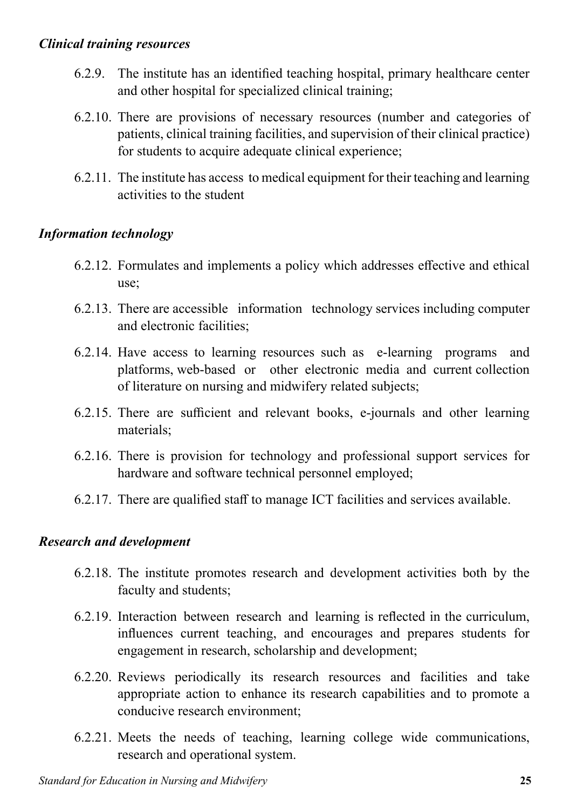### *Clinical training resources*

- 6.2.9. The institute has an identified teaching hospital, primary healthcare center and other hospital for specialized clinical training;
- 6.2.10. There are provisions of necessary resources (number and categories of patients, clinical training facilities, and supervision of their clinical practice) for students to acquire adequate clinical experience;
- 6.2.11. The institute has access to medical equipment for their teaching and learning activities to the student

# *Information technology*

- 6.2.12. Formulates and implements a policy which addresses effective and ethical use;
- 6.2.13. There are accessible information technology services including computer and electronic facilities;
- 6.2.14. Have access to learning resources such as e-learning programs and platforms, web-based or other electronic media and current collection of literature on nursing and midwifery related subjects;
- 6.2.15. There are sufficient and relevant books, e-journals and other learning materials;
- 6.2.16. There is provision for technology and professional support services for hardware and software technical personnel employed;
- 6.2.17. There are qualified staff to manage ICT facilities and services available.

## *Research and development*

- 6.2.18. The institute promotes research and development activities both by the faculty and students;
- 6.2.19. Interaction between research and learning is reflected in the curriculum, influences current teaching, and encourages and prepares students for engagement in research, scholarship and development;
- 6.2.20. Reviews periodically its research resources and facilities and take appropriate action to enhance its research capabilities and to promote a conducive research environment;
- 6.2.21. Meets the needs of teaching, learning college wide communications, research and operational system.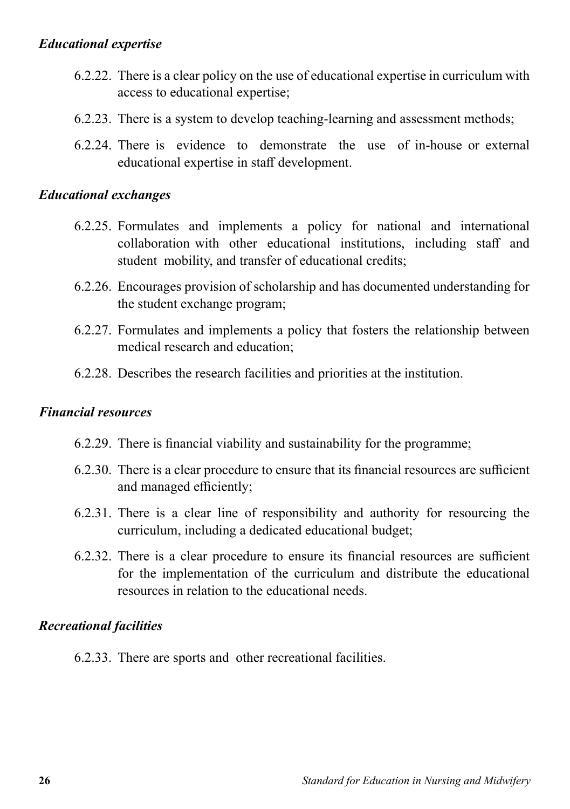### *Educational expertise*

- 6.2.22. There is a clear policy on the use of educational expertise in curriculum with access to educational expertise;
- 6.2.23. There is a system to develop teaching-learning and assessment methods;
- 6.2.24. There is evidence to demonstrate the use of in-house or external educational expertise in staff development.

### *Educational exchanges*

- 6.2.25. Formulates and implements a policy for national and international collaboration with other educational institutions, including staff and student mobility, and transfer of educational credits;
- 6.2.26. Encourages provision of scholarship and has documented understanding for the student exchange program;
- 6.2.27. Formulates and implements a policy that fosters the relationship between medical research and education;
- 6.2.28. Describes the research facilities and priorities at the institution.

### *Financial resources*

- 6.2.29. There is financial viability and sustainability for the programme;
- 6.2.30. There is a clear procedure to ensure that its financial resources are sufficient and managed efficiently;
- 6.2.31. There is a clear line of responsibility and authority for resourcing the curriculum, including a dedicated educational budget;
- 6.2.32. There is a clear procedure to ensure its financial resources are sufficient for the implementation of the curriculum and distribute the educational resources in relation to the educational needs.

## *Recreational facilities*

6.2.33. There are sports and other recreational facilities.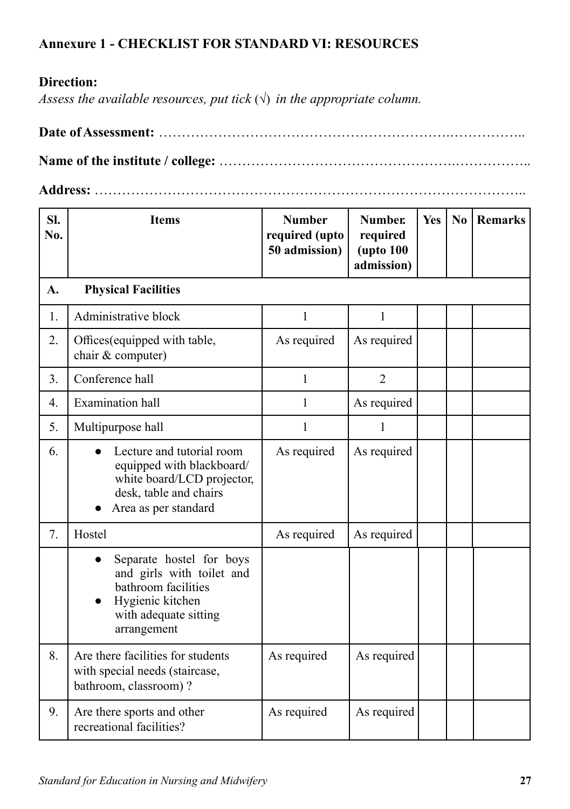# **Annexure 1 - CHECKLIST FOR STANDARD VI: RESOURCES**

# **Direction:**

*Assess the available resources, put tick*  $(\sqrt{})$  *in the appropriate column.* 

**Date of Assessment:** ……………………………………………………….……………..

**Name of the institute / college:** …………………………………………….……………..

**Address:** …………………………………………………………………………………..

| SI.<br>No.     | <b>Items</b>                                                                                                                             | <b>Number</b><br>required (upto<br>50 admission) | <b>Number.</b><br>required<br><b>(upto 100)</b><br>admission) | Yes | No | <b>Remarks</b> |
|----------------|------------------------------------------------------------------------------------------------------------------------------------------|--------------------------------------------------|---------------------------------------------------------------|-----|----|----------------|
| A.             | <b>Physical Facilities</b>                                                                                                               |                                                  |                                                               |     |    |                |
| 1.             | Administrative block                                                                                                                     | $\mathbf{1}$                                     | $\mathbf{1}$                                                  |     |    |                |
| 2.             | Offices (equipped with table,<br>chair & computer)                                                                                       | As required                                      | As required                                                   |     |    |                |
| 3 <sub>1</sub> | Conference hall                                                                                                                          | 1                                                | $\overline{2}$                                                |     |    |                |
| 4.             | Examination hall                                                                                                                         | 1                                                | As required                                                   |     |    |                |
| 5.             | Multipurpose hall                                                                                                                        | 1                                                | $\mathbf{1}$                                                  |     |    |                |
| 6.             | Lecture and tutorial room<br>equipped with blackboard/<br>white board/LCD projector,<br>desk, table and chairs<br>Area as per standard   | As required                                      | As required                                                   |     |    |                |
| 7.             | Hostel                                                                                                                                   | As required                                      | As required                                                   |     |    |                |
|                | Separate hostel for boys<br>and girls with toilet and<br>bathroom facilities<br>Hygienic kitchen<br>with adequate sitting<br>arrangement |                                                  |                                                               |     |    |                |
| 8.             | Are there facilities for students<br>with special needs (staircase,<br>bathroom, classroom)?                                             | As required                                      | As required                                                   |     |    |                |
| 9.             | Are there sports and other<br>recreational facilities?                                                                                   | As required                                      | As required                                                   |     |    |                |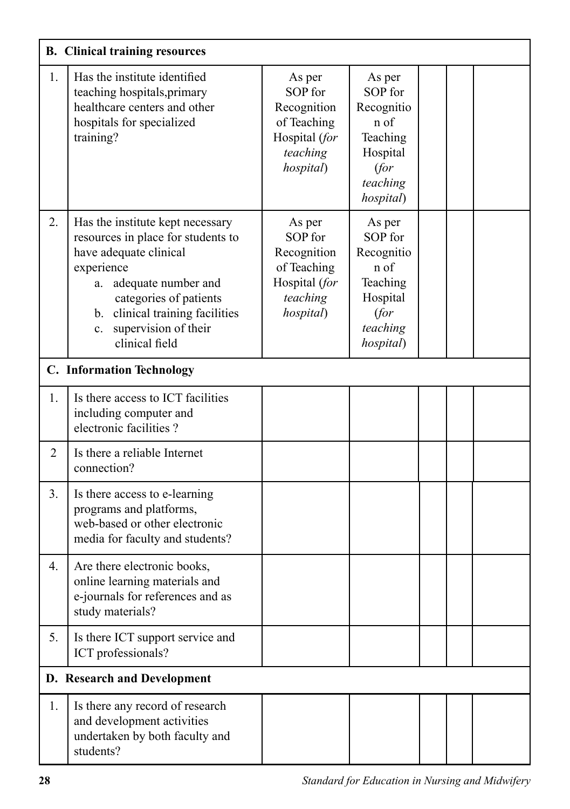|                | <b>B.</b> Clinical training resources                                                                                                                                                                                                                    |                                                                                           |                                                                                                  |  |  |
|----------------|----------------------------------------------------------------------------------------------------------------------------------------------------------------------------------------------------------------------------------------------------------|-------------------------------------------------------------------------------------------|--------------------------------------------------------------------------------------------------|--|--|
| 1.             | Has the institute identified<br>teaching hospitals, primary<br>healthcare centers and other<br>hospitals for specialized<br>training?                                                                                                                    | As per<br>SOP for<br>Recognition<br>of Teaching<br>Hospital (for<br>teaching<br>hospital) | As per<br>SOP for<br>Recognitio<br>n of<br>Teaching<br>Hospital<br>(for<br>teaching<br>hospital) |  |  |
| 2.             | Has the institute kept necessary<br>resources in place for students to<br>have adequate clinical<br>experience<br>adequate number and<br>a.<br>categories of patients<br>b. clinical training facilities<br>supervision of their<br>c.<br>clinical field | As per<br>SOP for<br>Recognition<br>of Teaching<br>Hospital (for<br>teaching<br>hospital) | As per<br>SOP for<br>Recognitio<br>n of<br>Teaching<br>Hospital<br>(for<br>teaching<br>hospital) |  |  |
|                | <b>C.</b> Information Technology                                                                                                                                                                                                                         |                                                                                           |                                                                                                  |  |  |
| 1.             | Is there access to ICT facilities<br>including computer and<br>electronic facilities?                                                                                                                                                                    |                                                                                           |                                                                                                  |  |  |
| $\overline{2}$ | Is there a reliable Internet<br>connection?                                                                                                                                                                                                              |                                                                                           |                                                                                                  |  |  |
| 3.             | Is there access to e-learning<br>programs and platforms,<br>web-based or other electronic<br>media for faculty and students?                                                                                                                             |                                                                                           |                                                                                                  |  |  |
| 4.             | Are there electronic books,<br>online learning materials and<br>e-journals for references and as<br>study materials?                                                                                                                                     |                                                                                           |                                                                                                  |  |  |
| 5.             | Is there ICT support service and<br>ICT professionals?                                                                                                                                                                                                   |                                                                                           |                                                                                                  |  |  |
|                | D. Research and Development                                                                                                                                                                                                                              |                                                                                           |                                                                                                  |  |  |
| 1.             | Is there any record of research<br>and development activities<br>undertaken by both faculty and<br>students?                                                                                                                                             |                                                                                           |                                                                                                  |  |  |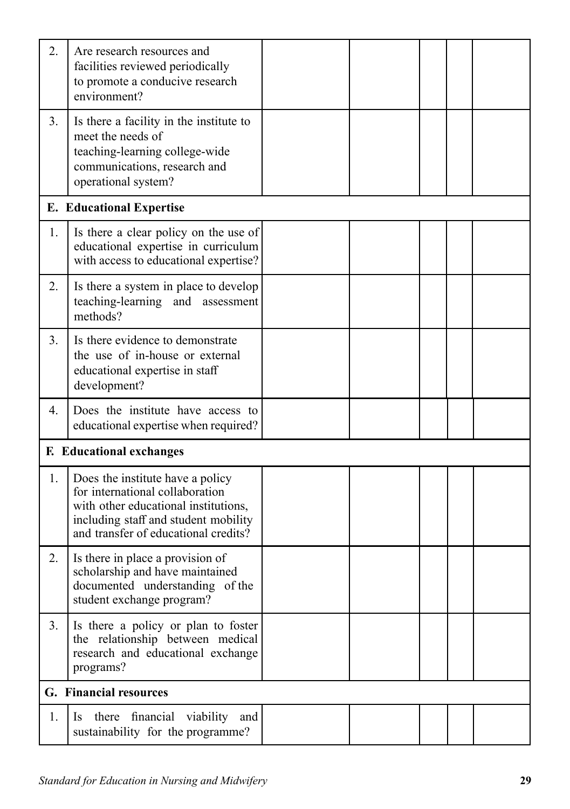| 2. | Are research resources and<br>facilities reviewed periodically<br>to promote a conducive research<br>environment?                                                                           |  |  |  |
|----|---------------------------------------------------------------------------------------------------------------------------------------------------------------------------------------------|--|--|--|
| 3. | Is there a facility in the institute to<br>meet the needs of<br>teaching-learning college-wide<br>communications, research and<br>operational system?                                       |  |  |  |
|    | <b>E.</b> Educational Expertise                                                                                                                                                             |  |  |  |
| 1. | Is there a clear policy on the use of<br>educational expertise in curriculum<br>with access to educational expertise?                                                                       |  |  |  |
| 2. | Is there a system in place to develop<br>teaching-learning and assessment<br>methods?                                                                                                       |  |  |  |
| 3. | Is there evidence to demonstrate<br>the use of in-house or external<br>educational expertise in staff<br>development?                                                                       |  |  |  |
| 4. | Does the institute have access to<br>educational expertise when required?                                                                                                                   |  |  |  |
|    | <b>F.</b> Educational exchanges                                                                                                                                                             |  |  |  |
| 1. | Does the institute have a policy<br>for international collaboration<br>with other educational institutions,<br>including staff and student mobility<br>and transfer of educational credits? |  |  |  |
| 2. | Is there in place a provision of<br>scholarship and have maintained<br>documented understanding of the<br>student exchange program?                                                         |  |  |  |
| 3. | Is there a policy or plan to foster<br>the relationship between medical<br>research and educational exchange<br>programs?                                                                   |  |  |  |
|    | G. Financial resources                                                                                                                                                                      |  |  |  |
| 1. | there financial<br>viability<br>and<br><sup>1</sup> S<br>sustainability for the programme?                                                                                                  |  |  |  |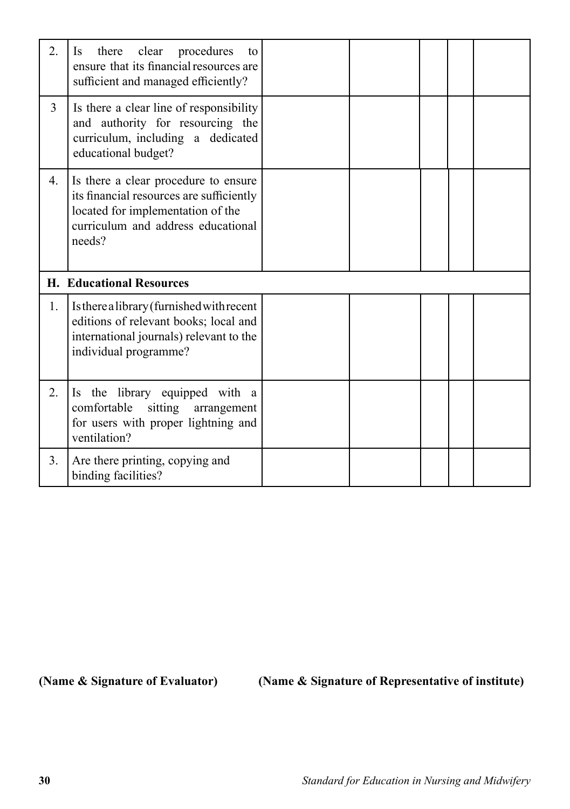| 2.               | there<br>clear<br>procedures<br><b>Is</b><br>to<br>ensure that its financial resources are<br>sufficient and managed efficiently?                                     |  |  |  |  |  |
|------------------|-----------------------------------------------------------------------------------------------------------------------------------------------------------------------|--|--|--|--|--|
| $\overline{3}$   | Is there a clear line of responsibility<br>and authority for resourcing the<br>curriculum, including a dedicated<br>educational budget?                               |  |  |  |  |  |
| 4.               | Is there a clear procedure to ensure<br>its financial resources are sufficiently<br>located for implementation of the<br>curriculum and address educational<br>needs? |  |  |  |  |  |
|                  | <b>H. Educational Resources</b>                                                                                                                                       |  |  |  |  |  |
|                  |                                                                                                                                                                       |  |  |  |  |  |
| 1.               | Is there a library (furnished with recent<br>editions of relevant books; local and<br>international journals) relevant to the<br>individual programme?                |  |  |  |  |  |
| $\overline{2}$ . | Is the library equipped with a<br>comfortable<br>sitting arrangement<br>for users with proper lightning and<br>ventilation?                                           |  |  |  |  |  |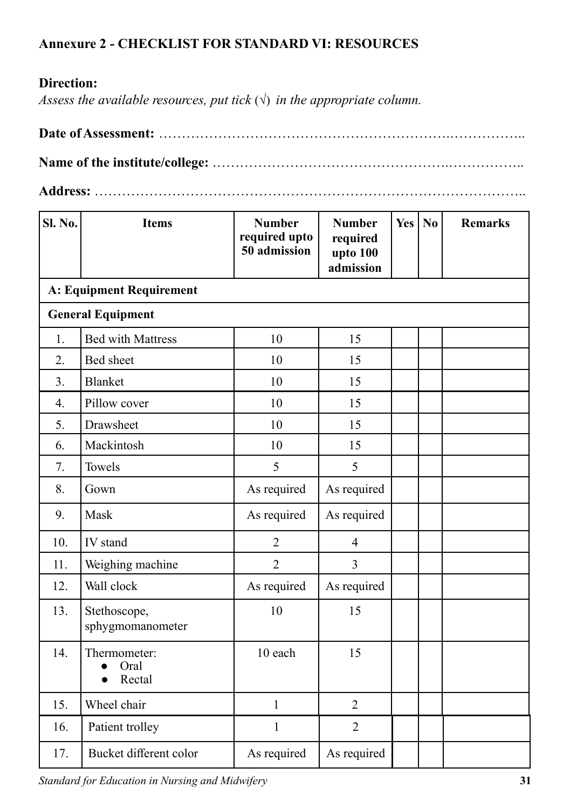# **Annexure 2 - CHECKLIST FOR STANDARD VI: RESOURCES**

## **Direction:**

*Assess the available resources, put tick*  $(\sqrt{})$  *in the appropriate column.* 

# **Date of Assessment:** ……………………………………………………….……………..

**Name of the institute/college:** …………………………………………….……………..

**Address:** …………………………………………………………………………………..

| <b>Sl. No.</b>   | <b>Items</b>                     | <b>Number</b><br>required upto<br>50 admission | <b>Number</b><br>required<br>upto 100<br>admission | Yes   $No$ | <b>Remarks</b> |
|------------------|----------------------------------|------------------------------------------------|----------------------------------------------------|------------|----------------|
|                  | <b>A: Equipment Requirement</b>  |                                                |                                                    |            |                |
|                  | <b>General Equipment</b>         |                                                |                                                    |            |                |
| 1.               | <b>Bed with Mattress</b>         | 10                                             | 15                                                 |            |                |
| 2.               | Bed sheet                        | 10                                             | 15                                                 |            |                |
| 3.               | <b>Blanket</b>                   | 10                                             | 15                                                 |            |                |
| $\overline{4}$ . | Pillow cover                     | 10                                             | 15                                                 |            |                |
| 5.               | Drawsheet                        | 10                                             | 15                                                 |            |                |
| 6.               | Mackintosh                       | 10                                             | 15                                                 |            |                |
| 7.               | Towels                           | 5                                              | 5                                                  |            |                |
| 8.               | Gown                             | As required                                    | As required                                        |            |                |
| 9.               | Mask                             | As required                                    | As required                                        |            |                |
| 10.              | IV stand                         | $\overline{2}$                                 | $\overline{4}$                                     |            |                |
| 11.              | Weighing machine                 | $\overline{2}$                                 | 3                                                  |            |                |
| 12.              | Wall clock                       | As required                                    | As required                                        |            |                |
| 13.              | Stethoscope,<br>sphygmomanometer | 10                                             | 15                                                 |            |                |
| 14.              | Thermometer:<br>Oral<br>Rectal   | 10 each                                        | 15                                                 |            |                |
| 15.              | Wheel chair                      | $\mathbf{1}$                                   | $\overline{2}$                                     |            |                |
| 16.              | Patient trolley                  | $\mathbf{1}$                                   | $\overline{2}$                                     |            |                |
| 17.              | Bucket different color           | As required                                    | As required                                        |            |                |

*Standard for Education in Nursing and Midwifery* **31**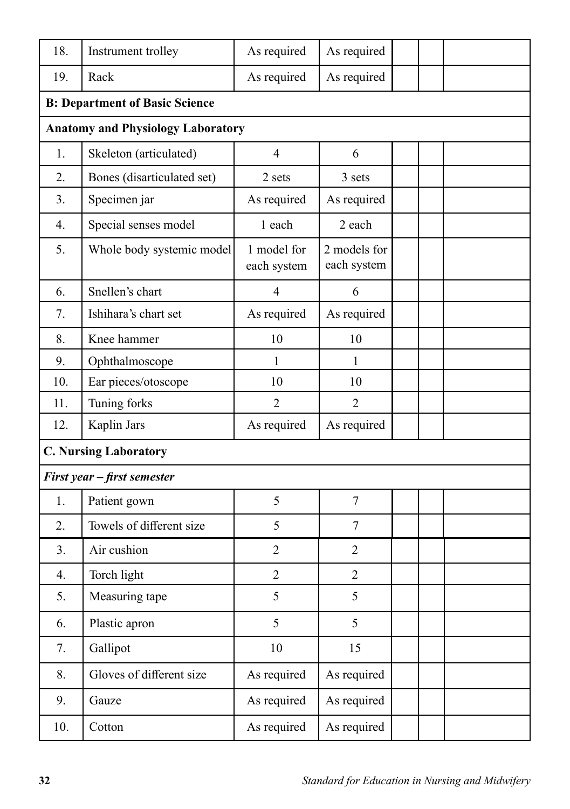| 18. | Instrument trolley                       | As required                | As required                 |  |
|-----|------------------------------------------|----------------------------|-----------------------------|--|
| 19. | Rack                                     | As required                | As required                 |  |
|     | <b>B: Department of Basic Science</b>    |                            |                             |  |
|     | <b>Anatomy and Physiology Laboratory</b> |                            |                             |  |
| 1.  | Skeleton (articulated)                   | $\overline{4}$             | 6                           |  |
| 2.  | Bones (disarticulated set)               | 2 sets                     | 3 sets                      |  |
| 3.  | Specimen jar                             | As required                | As required                 |  |
| 4.  | Special senses model                     | 1 each                     | 2 each                      |  |
| 5.  | Whole body systemic model                | 1 model for<br>each system | 2 models for<br>each system |  |
| 6.  | Snellen's chart                          | $\overline{4}$             | 6                           |  |
| 7.  | Ishihara's chart set                     | As required                | As required                 |  |
| 8.  | Knee hammer                              | 10                         | 10                          |  |
| 9.  | Ophthalmoscope                           | 1                          | 1                           |  |
| 10. | Ear pieces/otoscope                      | 10                         | 10                          |  |
| 11. | Tuning forks                             | 2                          | $\overline{2}$              |  |
| 12. | Kaplin Jars                              | As required                | As required                 |  |
|     | <b>C. Nursing Laboratory</b>             |                            |                             |  |
|     | First year - first semester              |                            |                             |  |
| 1.  | Patient gown                             | 5                          | $\tau$                      |  |
| 2.  | Towels of different size                 | 5                          | 7                           |  |
| 3.  | Air cushion                              | $\overline{2}$             | $\overline{2}$              |  |
| 4.  | Torch light                              | $\overline{2}$             | $\overline{2}$              |  |
| 5.  | Measuring tape                           | 5                          | 5                           |  |
| 6.  | Plastic apron                            | 5                          | 5                           |  |
| 7.  | Gallipot                                 | 10                         | 15                          |  |
| 8.  | Gloves of different size                 | As required                | As required                 |  |
| 9.  | Gauze                                    | As required                | As required                 |  |
| 10. | Cotton                                   | As required                | As required                 |  |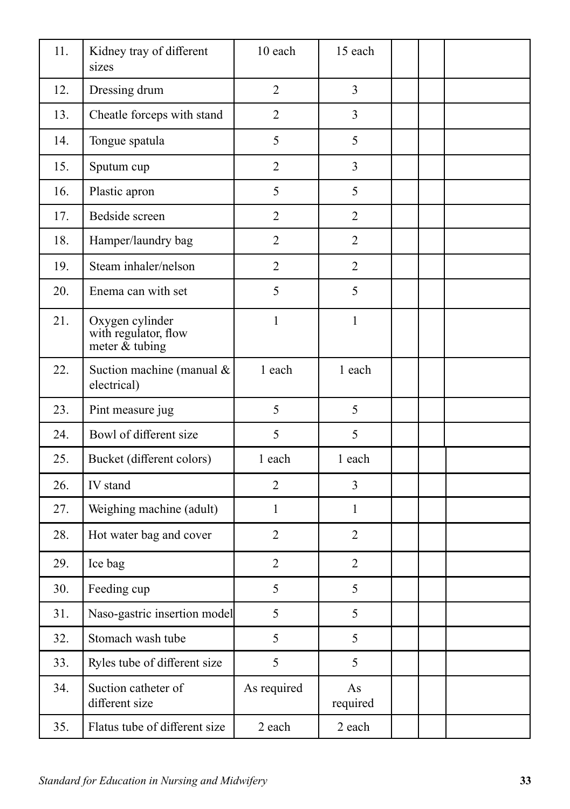| 11. | Kidney tray of different<br>sizes                            | 10 each        | 15 each        |  |  |
|-----|--------------------------------------------------------------|----------------|----------------|--|--|
| 12. | Dressing drum                                                | $\overline{2}$ | $\overline{3}$ |  |  |
| 13. | Cheatle forceps with stand                                   | $\overline{2}$ | 3              |  |  |
| 14. | Tongue spatula                                               | 5              | 5              |  |  |
| 15. | Sputum cup                                                   | $\overline{2}$ | $\overline{3}$ |  |  |
| 16. | Plastic apron                                                | 5              | 5              |  |  |
| 17. | Bedside screen                                               | $\overline{2}$ | $\overline{2}$ |  |  |
| 18. | Hamper/laundry bag                                           | $\overline{2}$ | $\overline{2}$ |  |  |
| 19. | Steam inhaler/nelson                                         | $\overline{2}$ | $\overline{2}$ |  |  |
| 20. | Enema can with set                                           | 5              | 5              |  |  |
| 21. | Oxygen cylinder<br>with regulator, flow<br>meter $\&$ tubing | $\mathbf{1}$   | $\mathbf{1}$   |  |  |
| 22. | Suction machine (manual &<br>electrical)                     | 1 each         | 1 each         |  |  |
| 23. | Pint measure jug                                             | 5              | 5              |  |  |
| 24. | Bowl of different size                                       | 5              | 5              |  |  |
| 25. | Bucket (different colors)                                    | 1 each         | 1 each         |  |  |
| 26. | IV stand                                                     | $\overline{2}$ | 3              |  |  |
| 27. | Weighing machine (adult)                                     | $\mathbf{1}$   | $\mathbf{1}$   |  |  |
| 28. | Hot water bag and cover                                      | $\overline{2}$ | $\overline{2}$ |  |  |
| 29. | Ice bag                                                      | $\overline{2}$ | $\overline{2}$ |  |  |
| 30. | Feeding cup                                                  | 5              | 5              |  |  |
| 31. | Naso-gastric insertion model                                 | 5              | 5              |  |  |
| 32. | Stomach wash tube                                            | 5              | 5              |  |  |
| 33. | Ryles tube of different size                                 | 5              | 5              |  |  |
| 34. | Suction catheter of<br>different size                        | As required    | As<br>required |  |  |
| 35. | Flatus tube of different size                                | 2 each         | 2 each         |  |  |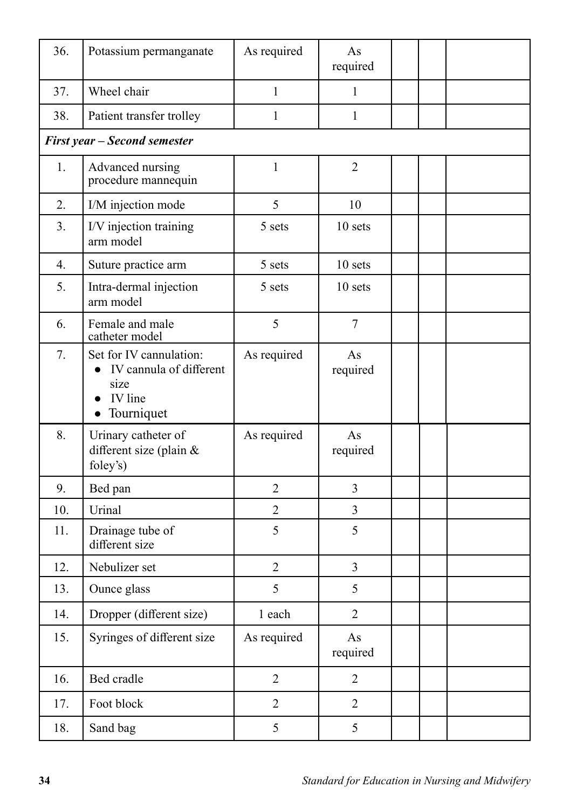| 36. | Potassium permanganate                                                                  | As required    | As<br>required |  |
|-----|-----------------------------------------------------------------------------------------|----------------|----------------|--|
| 37. | Wheel chair                                                                             | $\mathbf{1}$   | $\mathbf{1}$   |  |
| 38. | Patient transfer trolley                                                                | 1              | 1              |  |
|     | <b>First year - Second semester</b>                                                     |                |                |  |
| 1.  | Advanced nursing<br>procedure mannequin                                                 | $\mathbf{1}$   | $\overline{2}$ |  |
| 2.  | I/M injection mode                                                                      | 5              | 10             |  |
| 3.  | I/V injection training<br>arm model                                                     | 5 sets         | 10 sets        |  |
| 4.  | Suture practice arm                                                                     | 5 sets         | 10 sets        |  |
| 5.  | Intra-dermal injection<br>arm model                                                     | 5 sets         | 10 sets        |  |
| 6.  | Female and male<br>catheter model                                                       | 5              | $\tau$         |  |
| 7.  | Set for IV cannulation:<br>• IV cannula of different<br>size<br>IV line<br>• Tourniquet | As required    | As<br>required |  |
| 8.  | Urinary catheter of<br>different size (plain &<br>foley's)                              | As required    | As<br>required |  |
| 9.  | Bed pan                                                                                 | $\overline{2}$ | $\overline{3}$ |  |
| 10. | Urinal                                                                                  | $\overline{2}$ | 3              |  |
| 11. | Drainage tube of<br>different size                                                      | 5              | 5              |  |
| 12. | Nebulizer set                                                                           | $\overline{2}$ | $\overline{3}$ |  |
| 13. | Ounce glass                                                                             | 5              | 5              |  |
| 14. | Dropper (different size)                                                                | 1 each         | $\overline{2}$ |  |
| 15. | Syringes of different size                                                              | As required    | As<br>required |  |
| 16. | Bed cradle                                                                              | $\overline{2}$ | $\overline{2}$ |  |
| 17. | Foot block                                                                              | $\overline{2}$ | $\overline{2}$ |  |
| 18. | Sand bag                                                                                | 5              | 5              |  |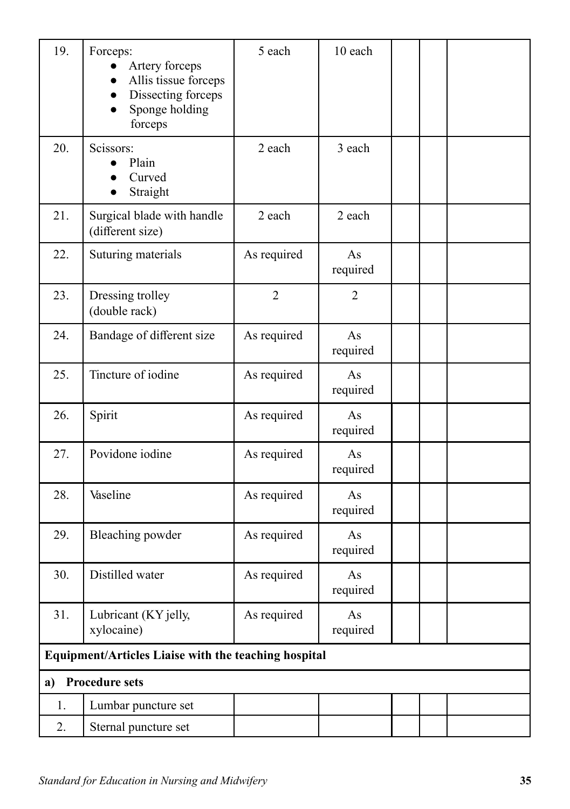| 19. | Forceps:<br>Artery forceps<br>$\bullet$<br>Allis tissue forceps<br>$\bullet$<br>Dissecting forceps<br>$\bullet$<br>Sponge holding<br>forceps | 5 each         | 10 each        |  |
|-----|----------------------------------------------------------------------------------------------------------------------------------------------|----------------|----------------|--|
| 20. | Scissors:<br>Plain<br>Curved<br>Straight                                                                                                     | 2 each         | 3 each         |  |
| 21. | Surgical blade with handle<br>(different size)                                                                                               | 2 each         | 2 each         |  |
| 22. | Suturing materials                                                                                                                           | As required    | As<br>required |  |
| 23. | Dressing trolley<br>(double rack)                                                                                                            | $\overline{2}$ | $\overline{2}$ |  |
| 24. | Bandage of different size                                                                                                                    | As required    | As<br>required |  |
| 25. | Tincture of iodine                                                                                                                           | As required    | As<br>required |  |
| 26. | Spirit                                                                                                                                       | As required    | As<br>required |  |
| 27. | Povidone iodine                                                                                                                              | As required    | As<br>required |  |
| 28. | Vaseline                                                                                                                                     | As required    | As<br>required |  |
| 29. | Bleaching powder                                                                                                                             | As required    | As<br>required |  |
| 30. | Distilled water                                                                                                                              | As required    | As<br>required |  |
| 31. | Lubricant (KY jelly,<br>xylocaine)                                                                                                           | As required    | As<br>required |  |
|     | <b>Equipment/Articles Liaise with the teaching hospital</b>                                                                                  |                |                |  |
| a)  | <b>Procedure sets</b>                                                                                                                        |                |                |  |
| 1.  | Lumbar puncture set                                                                                                                          |                |                |  |
| 2.  | Sternal puncture set                                                                                                                         |                |                |  |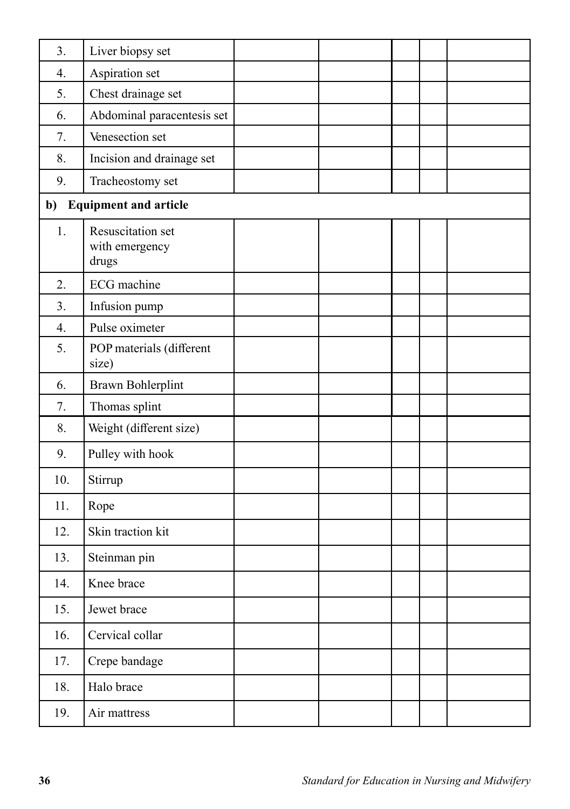| 3.  | Liver biopsy set                             |  |  |  |
|-----|----------------------------------------------|--|--|--|
| 4.  | Aspiration set                               |  |  |  |
| 5.  | Chest drainage set                           |  |  |  |
| 6.  | Abdominal paracentesis set                   |  |  |  |
| 7.  | Venesection set                              |  |  |  |
| 8.  | Incision and drainage set                    |  |  |  |
| 9.  | Tracheostomy set                             |  |  |  |
| b)  | <b>Equipment and article</b>                 |  |  |  |
| 1.  | Resuscitation set<br>with emergency<br>drugs |  |  |  |
| 2.  | <b>ECG</b> machine                           |  |  |  |
| 3.  | Infusion pump                                |  |  |  |
| 4.  | Pulse oximeter                               |  |  |  |
| 5.  | POP materials (different<br>size)            |  |  |  |
| 6.  | Brawn Bohlerplint                            |  |  |  |
| 7.  | Thomas splint                                |  |  |  |
| 8.  | Weight (different size)                      |  |  |  |
| 9.  | Pulley with hook                             |  |  |  |
| 10. | Stirrup                                      |  |  |  |
| 11. | Rope                                         |  |  |  |
| 12. | Skin traction kit                            |  |  |  |
| 13. | Steinman pin                                 |  |  |  |
| 14. | Knee brace                                   |  |  |  |
| 15. | Jewet brace                                  |  |  |  |
| 16. | Cervical collar                              |  |  |  |
| 17. | Crepe bandage                                |  |  |  |
| 18. | Halo brace                                   |  |  |  |
| 19. | Air mattress                                 |  |  |  |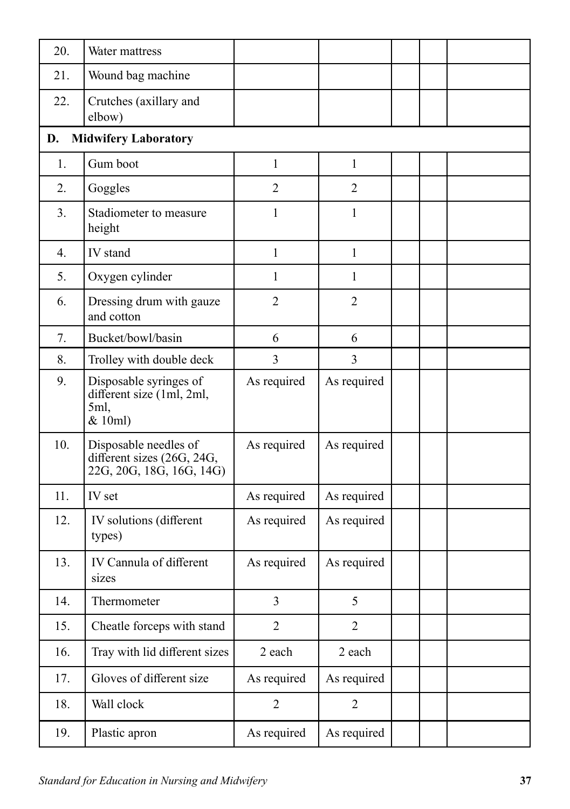| 20. | Water mattress                                                                  |                |                |  |
|-----|---------------------------------------------------------------------------------|----------------|----------------|--|
| 21. | Wound bag machine                                                               |                |                |  |
| 22. | Crutches (axillary and<br>elbow)                                                |                |                |  |
| D.  | <b>Midwifery Laboratory</b>                                                     |                |                |  |
| 1.  | Gum boot                                                                        | $\mathbf{1}$   | $\mathbf{1}$   |  |
| 2.  | Goggles                                                                         | $\overline{2}$ | $\overline{2}$ |  |
| 3.  | Stadiometer to measure<br>height                                                | 1              | 1              |  |
| 4.  | IV stand                                                                        | $\mathbf{1}$   | $\mathbf{1}$   |  |
| 5.  | Oxygen cylinder                                                                 | 1              | $\mathbf{1}$   |  |
| 6.  | Dressing drum with gauze<br>and cotton                                          | $\overline{2}$ | $\overline{2}$ |  |
| 7.  | Bucket/bowl/basin                                                               | 6              | 6              |  |
| 8.  | Trolley with double deck                                                        | 3              | 3              |  |
| 9.  | Disposable syringes of<br>different size (1ml, 2ml,<br>5ml,<br>& 10ml)          | As required    | As required    |  |
| 10. | Disposable needles of<br>different sizes (26G, 24G,<br>22G, 20G, 18G, 16G, 14G) | As required    | As required    |  |
| 11. | IV set                                                                          | As required    | As required    |  |
| 12. | IV solutions (different<br>types)                                               | As required    | As required    |  |
| 13. | IV Cannula of different<br>sizes                                                | As required    | As required    |  |
| 14. | Thermometer                                                                     | $\overline{3}$ | 5              |  |
| 15. | Cheatle forceps with stand                                                      | $\overline{2}$ | $\overline{2}$ |  |
| 16. | Tray with lid different sizes                                                   | 2 each         | 2 each         |  |
| 17. | Gloves of different size                                                        | As required    | As required    |  |
| 18. | Wall clock                                                                      | $\overline{2}$ | $\overline{2}$ |  |
| 19. | Plastic apron                                                                   | As required    | As required    |  |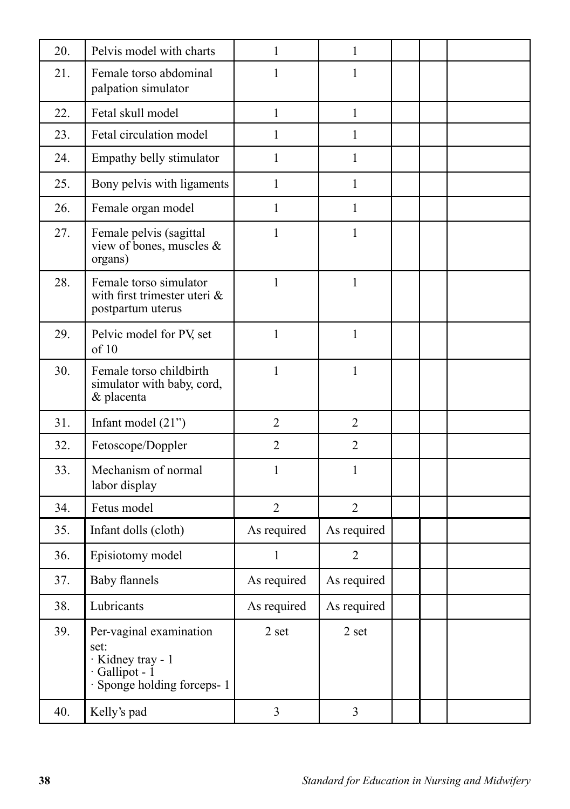| 20. | Pelvis model with charts                                                                                    | 1              | $\mathbf{1}$   |  |  |
|-----|-------------------------------------------------------------------------------------------------------------|----------------|----------------|--|--|
| 21. | Female torso abdominal<br>palpation simulator                                                               | 1              | 1              |  |  |
| 22. | Fetal skull model                                                                                           | $\mathbf{1}$   | $\mathbf{1}$   |  |  |
| 23. | Fetal circulation model                                                                                     | 1              | 1              |  |  |
| 24. | Empathy belly stimulator                                                                                    | 1              | 1              |  |  |
| 25. | Bony pelvis with ligaments                                                                                  | 1              | 1              |  |  |
| 26. | Female organ model                                                                                          | $\mathbf{1}$   | $\mathbf{1}$   |  |  |
| 27. | Female pelvis (sagittal<br>view of bones, muscles &<br>organs)                                              | 1              | 1              |  |  |
| 28. | Female torso simulator<br>with first trimester uteri $\&$<br>postpartum uterus                              | $\mathbf{1}$   | $\mathbf{1}$   |  |  |
| 29. | Pelvic model for PV, set<br>of 10                                                                           | 1              | $\mathbf{1}$   |  |  |
| 30. | Female torso childbirth<br>simulator with baby, cord,<br>& placenta                                         | 1              | $\mathbf{1}$   |  |  |
| 31. | Infant model $(21")$                                                                                        | $\overline{2}$ | $\overline{2}$ |  |  |
| 32. | Fetoscope/Doppler                                                                                           | $\overline{2}$ | $\overline{2}$ |  |  |
| 33. | Mechanism of normal<br>labor display                                                                        | 1              | 1              |  |  |
| 34. | Fetus model                                                                                                 | $\overline{2}$ | $\overline{2}$ |  |  |
| 35. | Infant dolls (cloth)                                                                                        | As required    | As required    |  |  |
| 36. | Episiotomy model                                                                                            | 1              | $\overline{2}$ |  |  |
| 37. | <b>Baby flannels</b>                                                                                        | As required    | As required    |  |  |
| 38. | Lubricants                                                                                                  | As required    | As required    |  |  |
| 39. | Per-vaginal examination<br>set:<br>· Kidney tray - 1<br>$\cdot$ Gallipot - 1<br>· Sponge holding forceps- 1 | 2 set          | 2 set          |  |  |
| 40. | Kelly's pad                                                                                                 | $\mathfrak{Z}$ | $\overline{3}$ |  |  |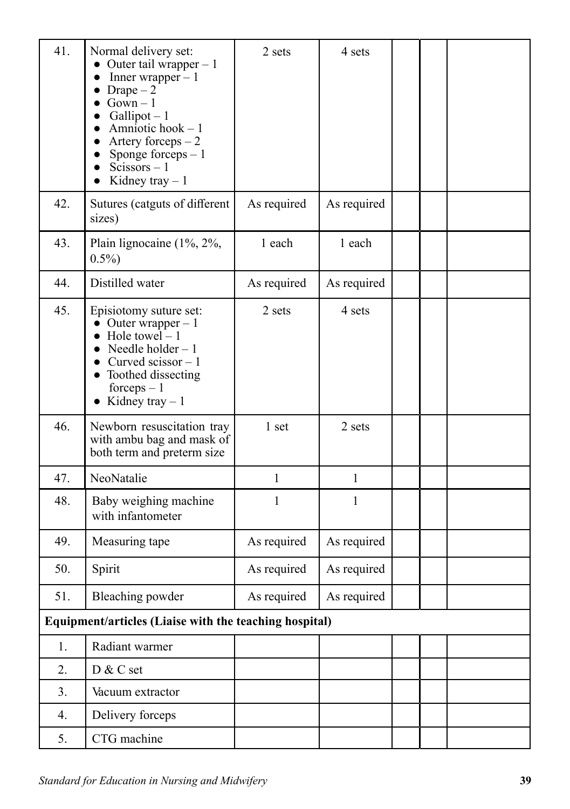| 41. | Normal delivery set:<br>• Outer tail wrapper $-1$<br>Inner wrapper $-1$<br>• Drape $-2$<br>$\bullet$ Gown - 1<br>$Gallipot - 1$<br>Amniotic hook $-1$<br>Artery forceps $-2$<br>Sponge forceps $-1$<br>$Scissors - 1$<br>Kidney tray $-1$ | 2 sets       | 4 sets      |  |  |
|-----|-------------------------------------------------------------------------------------------------------------------------------------------------------------------------------------------------------------------------------------------|--------------|-------------|--|--|
| 42. | Sutures (catguts of different<br>sizes)                                                                                                                                                                                                   | As required  | As required |  |  |
| 43. | Plain lignocaine $(1\%, 2\%,$<br>$0.5\%$                                                                                                                                                                                                  | 1 each       | 1 each      |  |  |
| 44. | Distilled water                                                                                                                                                                                                                           | As required  | As required |  |  |
| 45. | Episiotomy suture set:<br>• Outer wrapper $-1$<br>$\bullet$ Hole towel – 1<br>• Needle holder $-1$<br>Curved scissor $-1$<br>• Toothed dissecting<br>$forces - 1$<br>• Kidney tray $-1$                                                   | 2 sets       | 4 sets      |  |  |
| 46. | Newborn resuscitation tray<br>with ambu bag and mask of<br>both term and preterm size                                                                                                                                                     | 1 set        | 2 sets      |  |  |
| 47. | NeoNatalie                                                                                                                                                                                                                                | $\mathbf{1}$ | 1           |  |  |
| 48. | Baby weighing machine<br>with infantometer                                                                                                                                                                                                | 1            | 1           |  |  |
| 49. | Measuring tape                                                                                                                                                                                                                            | As required  | As required |  |  |
| 50. | Spirit                                                                                                                                                                                                                                    | As required  | As required |  |  |
| 51. | Bleaching powder                                                                                                                                                                                                                          | As required  | As required |  |  |
|     | Equipment/articles (Liaise with the teaching hospital)                                                                                                                                                                                    |              |             |  |  |
| 1.  | Radiant warmer                                                                                                                                                                                                                            |              |             |  |  |
| 2.  | D & C set                                                                                                                                                                                                                                 |              |             |  |  |
| 3.  | Vacuum extractor                                                                                                                                                                                                                          |              |             |  |  |
| 4.  | Delivery forceps                                                                                                                                                                                                                          |              |             |  |  |
| 5.  | CTG machine                                                                                                                                                                                                                               |              |             |  |  |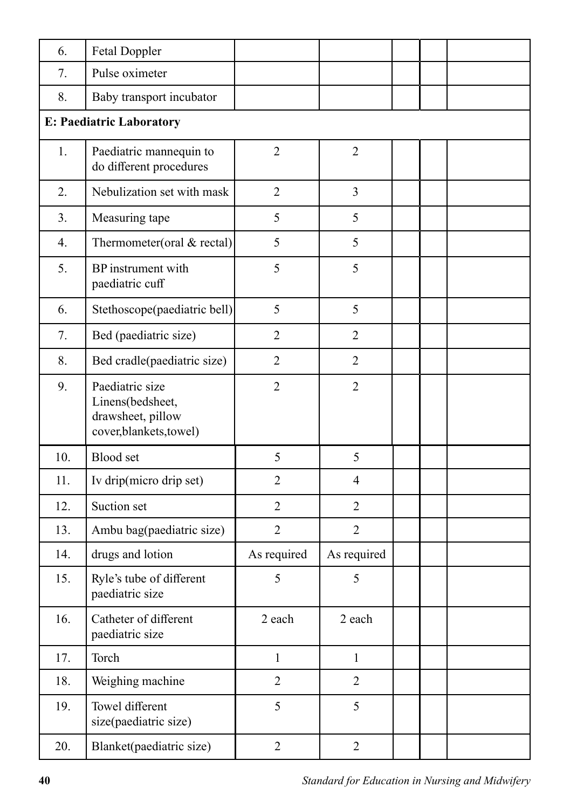| 6.  | Fetal Doppler                                                                       |                |                |  |  |  |  |
|-----|-------------------------------------------------------------------------------------|----------------|----------------|--|--|--|--|
| 7.  | Pulse oximeter                                                                      |                |                |  |  |  |  |
| 8.  | Baby transport incubator                                                            |                |                |  |  |  |  |
|     | <b>E: Paediatric Laboratory</b>                                                     |                |                |  |  |  |  |
| 1.  | Paediatric mannequin to<br>do different procedures                                  | $\overline{2}$ | $\overline{2}$ |  |  |  |  |
| 2.  | Nebulization set with mask                                                          | $\overline{2}$ | 3              |  |  |  |  |
| 3.  | Measuring tape                                                                      | 5              | 5              |  |  |  |  |
| 4.  | Thermometer(oral $&$ rectal)                                                        | 5              | 5              |  |  |  |  |
| 5.  | BP instrument with<br>paediatric cuff                                               | 5              | 5              |  |  |  |  |
| 6.  | Stethoscope(paediatric bell)                                                        | 5              | 5              |  |  |  |  |
| 7.  | Bed (paediatric size)                                                               | $\overline{2}$ | $\overline{2}$ |  |  |  |  |
| 8.  | Bed cradle(paediatric size)                                                         | $\overline{2}$ | $\overline{2}$ |  |  |  |  |
| 9.  | Paediatric size<br>Linens(bedsheet,<br>drawsheet, pillow<br>cover, blankets, towel) | $\overline{2}$ | $\overline{2}$ |  |  |  |  |
| 10. | <b>Blood</b> set                                                                    | 5              | 5              |  |  |  |  |
| 11. | Iv drip(micro drip set)                                                             | $\overline{2}$ | $\overline{4}$ |  |  |  |  |
| 12. | Suction set                                                                         | $\overline{2}$ | $\overline{2}$ |  |  |  |  |
| 13. | Ambu bag(paediatric size)                                                           | $\overline{2}$ | $\overline{2}$ |  |  |  |  |
| 14. | drugs and lotion                                                                    | As required    | As required    |  |  |  |  |
| 15. | Ryle's tube of different<br>paediatric size                                         | 5              | 5              |  |  |  |  |
| 16. | Catheter of different<br>paediatric size                                            | 2 each         | 2 each         |  |  |  |  |
| 17. | Torch                                                                               | $\mathbf{1}$   | $\mathbf{1}$   |  |  |  |  |
| 18. | Weighing machine                                                                    | $\overline{2}$ | $\overline{2}$ |  |  |  |  |
| 19. | Towel different<br>size(paediatric size)                                            | 5              | 5              |  |  |  |  |
| 20. | Blanket(paediatric size)                                                            | $\overline{2}$ | $\overline{2}$ |  |  |  |  |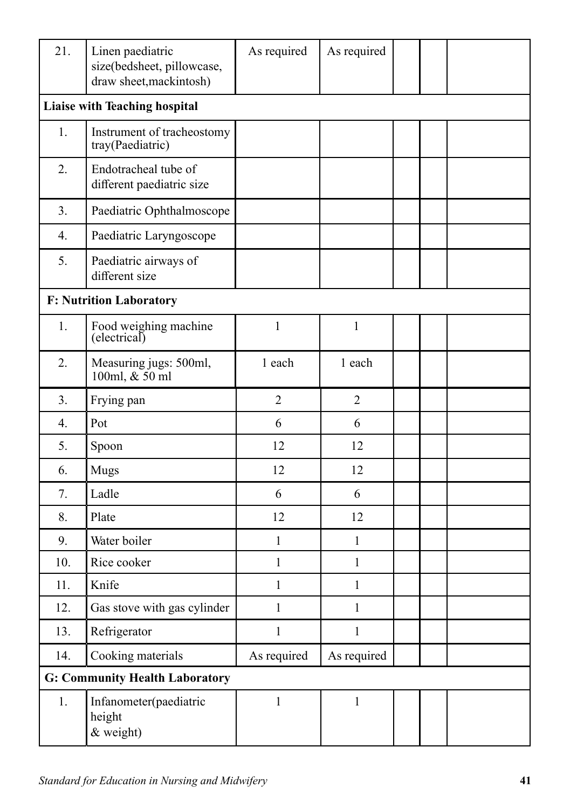| 21. | Linen paediatric<br>size(bedsheet, pillowcase,<br>draw sheet, mackintosh) | As required    | As required    |  |
|-----|---------------------------------------------------------------------------|----------------|----------------|--|
|     | Liaise with Teaching hospital                                             |                |                |  |
| 1.  | Instrument of tracheostomy<br>tray(Paediatric)                            |                |                |  |
| 2.  | Endotracheal tube of<br>different paediatric size                         |                |                |  |
| 3.  | Paediatric Ophthalmoscope                                                 |                |                |  |
| 4.  | Paediatric Laryngoscope                                                   |                |                |  |
| 5.  | Paediatric airways of<br>different size                                   |                |                |  |
|     | <b>F: Nutrition Laboratory</b>                                            |                |                |  |
| 1.  | Food weighing machine<br>(electrical)                                     | $\mathbf{1}$   | $\mathbf{1}$   |  |
| 2.  | Measuring jugs: 500ml,<br>100ml, & 50 ml                                  | 1 each         | 1 each         |  |
| 3.  | Frying pan                                                                | $\overline{2}$ | $\overline{2}$ |  |
| 4.  | Pot                                                                       | 6              | 6              |  |
| 5.  | Spoon                                                                     | 12             | 12             |  |
| 6.  | <b>Mugs</b>                                                               | 12             | 12             |  |
| 7.  | Ladle                                                                     | 6              | 6              |  |
| 8.  | Plate                                                                     | 12             | 12             |  |
| 9.  | Water boiler                                                              | 1              | 1              |  |
| 10. | Rice cooker                                                               | $\mathbf{1}$   | $\mathbf{1}$   |  |
| 11. | Knife                                                                     | 1              | 1              |  |
| 12. | Gas stove with gas cylinder                                               | $\mathbf{1}$   | $\mathbf{1}$   |  |
| 13. | Refrigerator                                                              | $\mathbf{1}$   | $\mathbf{1}$   |  |
| 14. | Cooking materials                                                         | As required    | As required    |  |
|     | <b>G: Community Health Laboratory</b>                                     |                |                |  |
| 1.  | Infanometer(paediatric<br>height<br>& weight)                             | $\mathbf{1}$   | $\mathbf{1}$   |  |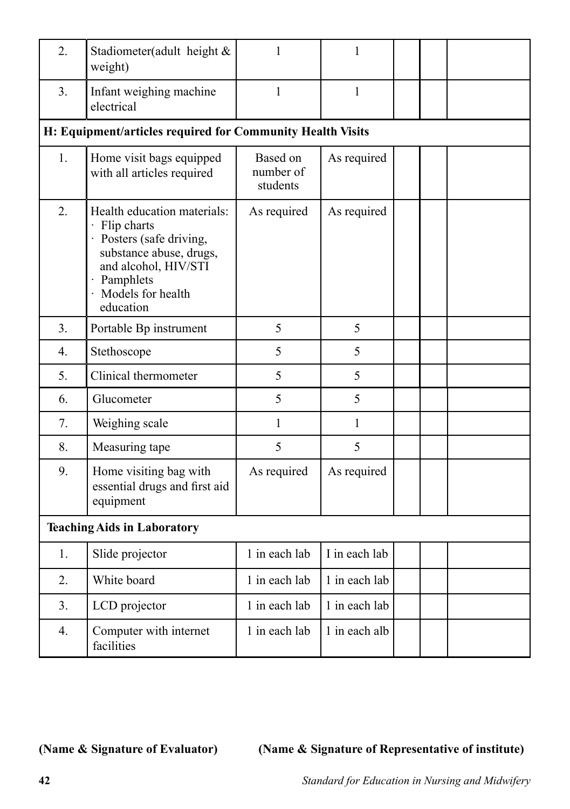| 2.                                 | Stadiometer(adult height &<br>weight)                                                                                                                                          | 1                                 | 1             |  |  |  |
|------------------------------------|--------------------------------------------------------------------------------------------------------------------------------------------------------------------------------|-----------------------------------|---------------|--|--|--|
| 3.                                 | Infant weighing machine<br>electrical                                                                                                                                          | 1                                 | $\mathbf{1}$  |  |  |  |
|                                    | H: Equipment/articles required for Community Health Visits                                                                                                                     |                                   |               |  |  |  |
| 1.                                 | Home visit bags equipped<br>with all articles required                                                                                                                         | Based on<br>number of<br>students | As required   |  |  |  |
| 2.                                 | Health education materials:<br>· Flip charts<br>· Posters (safe driving,<br>substance abuse, drugs,<br>and alcohol, HIV/STI<br>· Pamphlets<br>· Models for health<br>education | As required                       | As required   |  |  |  |
| 3.                                 | Portable Bp instrument                                                                                                                                                         | 5                                 | 5             |  |  |  |
| 4.                                 | Stethoscope                                                                                                                                                                    | 5                                 | 5             |  |  |  |
| 5.                                 | Clinical thermometer                                                                                                                                                           | 5                                 | 5             |  |  |  |
| 6.                                 | Glucometer                                                                                                                                                                     | 5                                 | 5             |  |  |  |
| 7.                                 | Weighing scale                                                                                                                                                                 | 1                                 | $\mathbf{1}$  |  |  |  |
| 8.                                 | Measuring tape                                                                                                                                                                 | 5                                 | 5             |  |  |  |
| 9.                                 | Home visiting bag with<br>essential drugs and first aid<br>equipment                                                                                                           | As required                       | As required   |  |  |  |
| <b>Teaching Aids in Laboratory</b> |                                                                                                                                                                                |                                   |               |  |  |  |
| 1.                                 | Slide projector                                                                                                                                                                | 1 in each lab                     | I in each lab |  |  |  |
| 2.                                 | White board                                                                                                                                                                    | 1 in each lab                     | 1 in each lab |  |  |  |
| 3.                                 | LCD projector                                                                                                                                                                  | 1 in each lab                     | 1 in each lab |  |  |  |
| 4.                                 | Computer with internet<br>facilities                                                                                                                                           | 1 in each lab                     | 1 in each alb |  |  |  |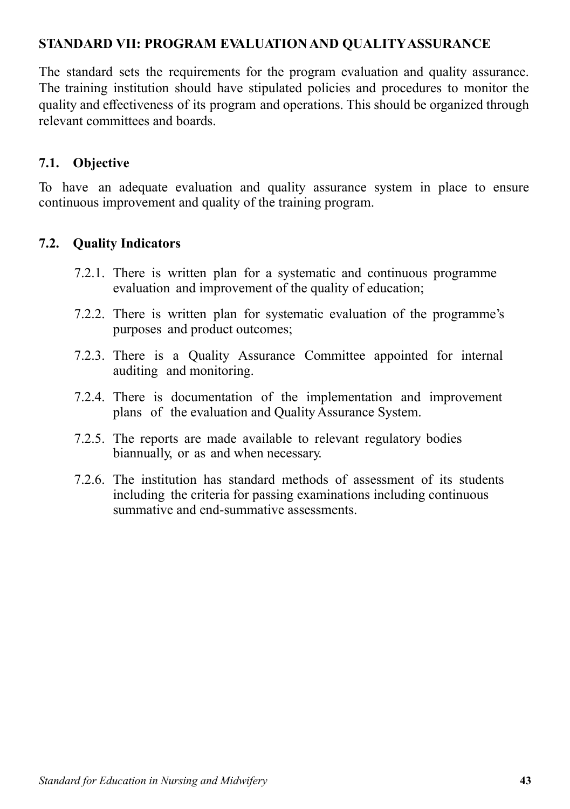## **STANDARD VII: PROGRAM EVALUATION AND QUALITY ASSURANCE**

The standard sets the requirements for the program evaluation and quality assurance. The training institution should have stipulated policies and procedures to monitor the quality and effectiveness of its program and operations. This should be organized through relevant committees and boards.

## **7.1. Objective**

To have an adequate evaluation and quality assurance system in place to ensure continuous improvement and quality of the training program.

## **7.2. Quality Indicators**

- 7.2.1. There is written plan for a systematic and continuous programme evaluation and improvement of the quality of education;
- 7.2.2. There is written plan for systematic evaluation of the programme's purposes and product outcomes;
- 7.2.3. There is a Quality Assurance Committee appointed for internal auditing and monitoring.
- 7.2.4. There is documentation of the implementation and improvement plans of the evaluation and Quality Assurance System.
- 7.2.5. The reports are made available to relevant regulatory bodies biannually, or as and when necessary.
- 7.2.6. The institution has standard methods of assessment of its students including the criteria for passing examinations including continuous summative and end-summative assessments.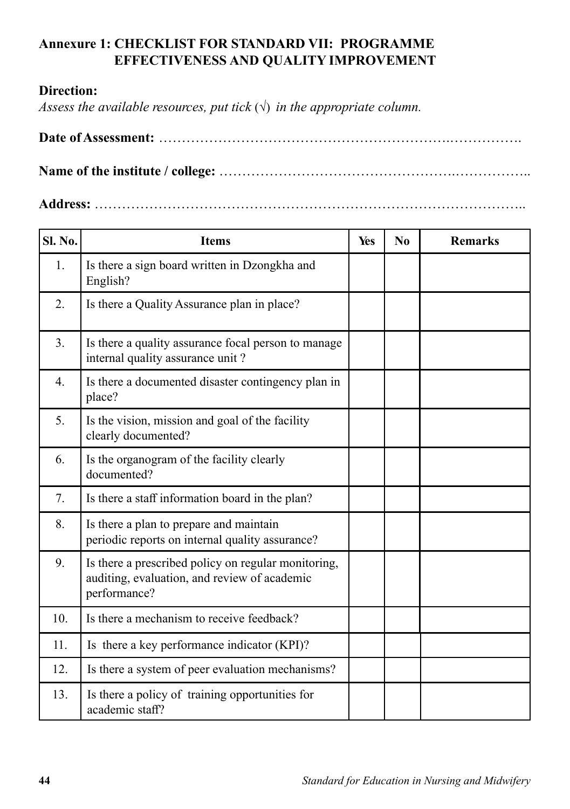# **Annexure 1: CHECKLIST FOR STANDARD VII: PROGRAMME EFFECTIVENESS AND QUALITY IMPROVEMENT**

### **Direction:**

*Assess the available resources, put tick*  $(\sqrt{})$  *in the appropriate column.* 

|--|--|

**Name of the institute / college:** …………………………………………….……………..

**Address:** …………………………………………………………………………………..

| <b>Sl. No.</b> | <b>Items</b>                                                                                                        | Yes | No | <b>Remarks</b> |
|----------------|---------------------------------------------------------------------------------------------------------------------|-----|----|----------------|
| 1.             | Is there a sign board written in Dzongkha and<br>English?                                                           |     |    |                |
| 2.             | Is there a Quality Assurance plan in place?                                                                         |     |    |                |
| 3.             | Is there a quality assurance focal person to manage<br>internal quality assurance unit?                             |     |    |                |
| 4.             | Is there a documented disaster contingency plan in<br>place?                                                        |     |    |                |
| 5.             | Is the vision, mission and goal of the facility<br>clearly documented?                                              |     |    |                |
| 6.             | Is the organogram of the facility clearly<br>documented?                                                            |     |    |                |
| 7.             | Is there a staff information board in the plan?                                                                     |     |    |                |
| 8.             | Is there a plan to prepare and maintain<br>periodic reports on internal quality assurance?                          |     |    |                |
| 9.             | Is there a prescribed policy on regular monitoring,<br>auditing, evaluation, and review of academic<br>performance? |     |    |                |
| 10.            | Is there a mechanism to receive feedback?                                                                           |     |    |                |
| 11.            | Is there a key performance indicator (KPI)?                                                                         |     |    |                |
| 12.            | Is there a system of peer evaluation mechanisms?                                                                    |     |    |                |
| 13.            | Is there a policy of training opportunities for<br>academic staff?                                                  |     |    |                |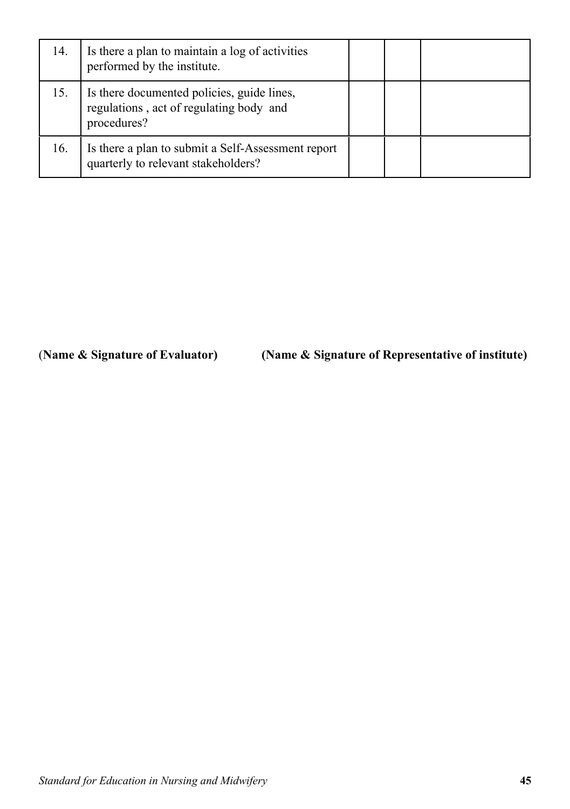| 14. | Is there a plan to maintain a log of activities<br>performed by the institute.                       |  |  |
|-----|------------------------------------------------------------------------------------------------------|--|--|
| 15. | Is there documented policies, guide lines,<br>regulations, act of regulating body and<br>procedures? |  |  |
| 16. | Is there a plan to submit a Self-Assessment report<br>quarterly to relevant stakeholders?            |  |  |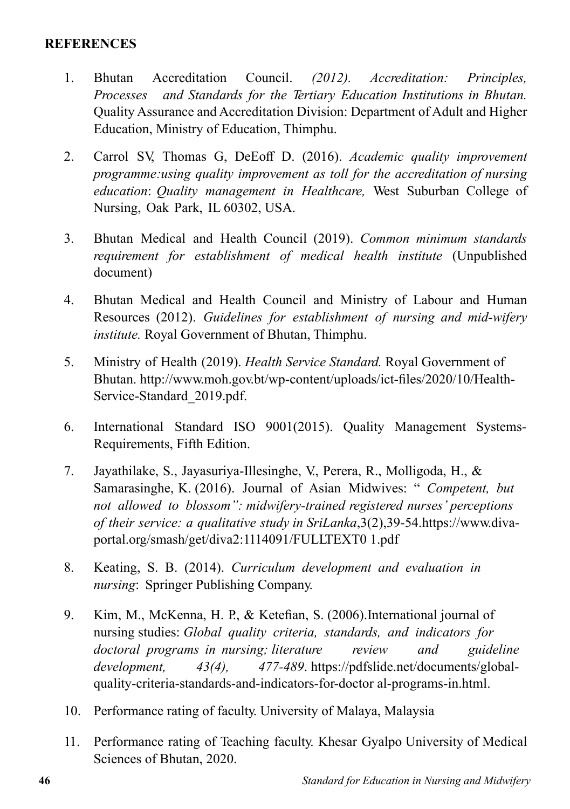### **REFERENCES**

- 1. Bhutan Accreditation Council. *(2012). Accreditation: Principles, Processes and Standards for the Tertiary Education Institutions in Bhutan.*  Quality Assurance and Accreditation Division: Department of Adult and Higher Education, Ministry of Education, Thimphu.
- 2. Carrol SV, Thomas G, DeEoff D. (2016). *Academic quality improvement programme:using quality improvement as toll for the accreditation of nursing education*: *Quality management in Healthcare,* West Suburban College of Nursing, Oak Park, IL 60302, USA.
- 3. Bhutan Medical and Health Council (2019). *Common minimum standards requirement for establishment of medical health institute* (Unpublished document)
- 4. Bhutan Medical and Health Council and Ministry of Labour and Human Resources (2012). *Guidelines for establishment of nursing and mid-wifery institute.* Royal Government of Bhutan, Thimphu.
- 5. Ministry of Health (2019). *Health Service Standard.* Royal Government of Bhutan. http://www.moh.gov.bt/wp-content/uploads/ict-files/2020/10/Health-Service-Standard\_2019.pdf.
- 6. International Standard ISO 9001(2015). Quality Management Systems-Requirements, Fifth Edition.
- 7. Jayathilake, S., Jayasuriya-Illesinghe, V., Perera, R., Molligoda, H., & Samarasinghe, K. (2016). Journal of Asian Midwives: " *Competent, but not allowed to blossom": midwifery-trained registered nurses' perceptions of their service: a qualitative study in SriLanka*,3(2),39-54.https://www.divaportal.org/smash/get/diva2:1114091/FULLTEXT0 1.pdf
- 8. Keating, S. B. (2014). *Curriculum development and evaluation in nursing*: Springer Publishing Company.
- 9. Kim, M., McKenna, H. P., & Ketefian, S. (2006).International journal of nursing studies: *Global quality criteria, standards, and indicators for doctoral programs in nursing; literature review and guideline development, 43(4), 477-489*. https://pdfslide.net/documents/globalquality-criteria-standards-and-indicators-for-doctor al-programs-in.html.
- 10. Performance rating of faculty. University of Malaya, Malaysia
- 11. Performance rating of Teaching faculty. Khesar Gyalpo University of Medical Sciences of Bhutan, 2020.